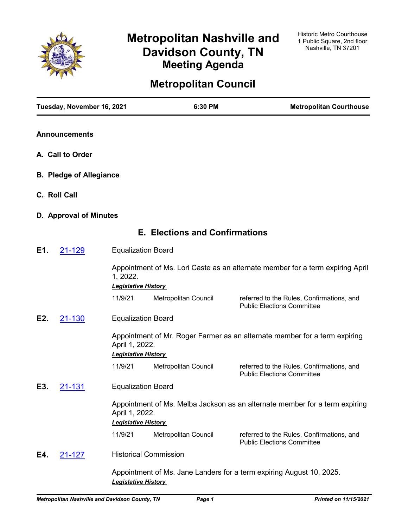

# **Metropolitan Nashville and Davidson County, TN Meeting Agenda**

# **Metropolitan Council**

|                                | Tuesday, November 16, 2021 |                                              | 6:30 PM                               | <b>Metropolitan Courthouse</b>                                                 |
|--------------------------------|----------------------------|----------------------------------------------|---------------------------------------|--------------------------------------------------------------------------------|
|                                | <b>Announcements</b>       |                                              |                                       |                                                                                |
|                                | A. Call to Order           |                                              |                                       |                                                                                |
| <b>B. Pledge of Allegiance</b> |                            |                                              |                                       |                                                                                |
|                                | C. Roll Call               |                                              |                                       |                                                                                |
|                                | D. Approval of Minutes     |                                              |                                       |                                                                                |
|                                |                            |                                              | <b>E. Elections and Confirmations</b> |                                                                                |
| E1.                            | 21-129                     | <b>Equalization Board</b>                    |                                       |                                                                                |
|                                |                            | 1, 2022.<br><b>Legislative History</b>       |                                       | Appointment of Ms. Lori Caste as an alternate member for a term expiring April |
|                                |                            | 11/9/21                                      | Metropolitan Council                  | referred to the Rules, Confirmations, and<br><b>Public Elections Committee</b> |
| E2.                            | 21-130                     | <b>Equalization Board</b>                    |                                       |                                                                                |
|                                |                            | April 1, 2022.<br><b>Legislative History</b> |                                       | Appointment of Mr. Roger Farmer as an alternate member for a term expiring     |
|                                |                            | 11/9/21                                      | Metropolitan Council                  | referred to the Rules, Confirmations, and<br><b>Public Elections Committee</b> |
| E3.                            | 21-131                     | <b>Equalization Board</b>                    |                                       |                                                                                |
|                                |                            | April 1, 2022.<br><b>Legislative History</b> |                                       | Appointment of Ms. Melba Jackson as an alternate member for a term expiring    |
|                                |                            | 11/9/21                                      | Metropolitan Council                  | referred to the Rules, Confirmations, and<br><b>Public Elections Committee</b> |
| E4.                            | 21-127                     |                                              | <b>Historical Commission</b>          |                                                                                |
|                                |                            |                                              |                                       | Appointment of Ms. Jane Landers for a term expiring August 10, 2025.           |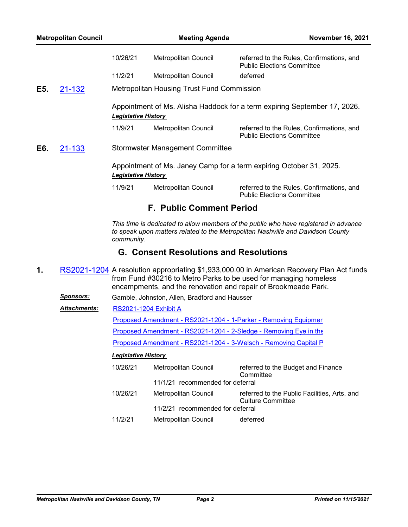| <b>Metropolitan Council</b> |        |                            | <b>Meeting Agenda</b>                      | <b>November 16, 2021</b>                                                       |
|-----------------------------|--------|----------------------------|--------------------------------------------|--------------------------------------------------------------------------------|
|                             |        | 10/26/21                   | Metropolitan Council                       | referred to the Rules, Confirmations, and<br><b>Public Elections Committee</b> |
|                             |        | 11/2/21                    | <b>Metropolitan Council</b>                | deferred                                                                       |
| E5.                         | 21-132 |                            | Metropolitan Housing Trust Fund Commission |                                                                                |
|                             |        | <b>Legislative History</b> |                                            | Appointment of Ms. Alisha Haddock for a term expiring September 17, 2026.      |
|                             |        | 11/9/21                    | Metropolitan Council                       | referred to the Rules, Confirmations, and<br><b>Public Elections Committee</b> |
| E6.                         | 21-133 |                            | <b>Stormwater Management Committee</b>     |                                                                                |
|                             |        | <b>Legislative History</b> |                                            | Appointment of Ms. Janey Camp for a term expiring October 31, 2025.            |
|                             |        | 11/9/21                    | Metropolitan Council                       | referred to the Rules, Confirmations, and<br><b>Public Elections Committee</b> |
|                             |        |                            | <b>F. Public Comment Period</b>            |                                                                                |

*This time is dedicated to allow members of the public who have registered in advance to speak upon matters related to the Metropolitan Nashville and Davidson County community.*

# **G. Consent Resolutions and Resolutions**

- **1.** [RS2021-1204](http://nashville.legistar.com/gateway.aspx?m=l&id=/matter.aspx?key=13792) A resolution appropriating \$1,933,000.00 in American Recovery Plan Act funds from Fund #30216 to Metro Parks to be used for managing homeless encampments, and the renovation and repair of Brookmeade Park.
	- *Sponsors:* Gamble, Johnston, Allen, Bradford and Hausser
	- [RS2021-1204 Exhibit A](http://nashville.legistar.com/gateway.aspx?M=F&ID=1e30d049-bcba-4a98-b2a2-794b8e9f3df6.PDF) *Attachments:*

Proposed Amendment - RS2021-1204 - 1-Parker - Removing Equipmer

[Proposed Amendment - RS2021-1204 - 2-Sledge - Removing Eye in the](http://nashville.legistar.com/gateway.aspx?M=F&ID=8d083589-8d81-48fa-a27c-3ecfd7ae90bc.docx)

[Proposed Amendment - RS2021-1204 - 3-Welsch - Removing Capital P](http://nashville.legistar.com/gateway.aspx?M=F&ID=3fb04af4-c8ff-483c-920c-899d0620c8b2.docx)

| 10/26/21 | Metropolitan Council             | referred to the Budget and Finance<br>Committee                          |
|----------|----------------------------------|--------------------------------------------------------------------------|
|          | 11/1/21 recommended for deferral |                                                                          |
| 10/26/21 | Metropolitan Council             | referred to the Public Facilities, Arts, and<br><b>Culture Committee</b> |
|          | 11/2/21 recommended for deferral |                                                                          |
| 11/2/21  | <b>Metropolitan Council</b>      | deferred                                                                 |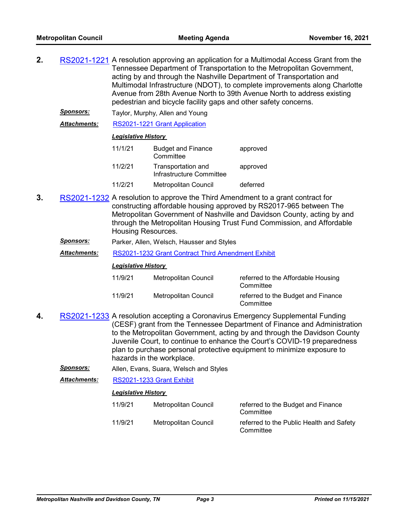- **2.** [RS2021-1221](http://nashville.legistar.com/gateway.aspx?m=l&id=/matter.aspx?key=13743) A resolution approving an application for a Multimodal Access Grant from the Tennessee Department of Transportation to the Metropolitan Government, acting by and through the Nashville Department of Transportation and Multimodal Infrastructure (NDOT), to complete improvements along Charlotte Avenue from 28th Avenue North to 39th Avenue North to address existing pedestrian and bicycle facility gaps and other safety concerns.
	- *Sponsors:* Taylor, Murphy, Allen and Young

*Attachments:* [RS2021-1221 Grant Application](http://nashville.legistar.com/gateway.aspx?M=F&ID=50107c09-51e6-4bc1-9c0c-b459b917d533.pdf)

#### *Legislative History*

| 11/1/21 | <b>Budget and Finance</b><br>Committee         | approved |
|---------|------------------------------------------------|----------|
| 11/2/21 | Transportation and<br>Infrastructure Committee | approved |
| 11/2/21 | <b>Metropolitan Council</b>                    | deferred |

- **3.** [RS2021-1232](http://nashville.legistar.com/gateway.aspx?m=l&id=/matter.aspx?key=13820) A resolution to approve the Third Amendment to a grant contract for constructing affordable housing approved by RS2017-965 between The Metropolitan Government of Nashville and Davidson County, acting by and through the Metropolitan Housing Trust Fund Commission, and Affordable Housing Resources.
	- *Sponsors:* Parker, Allen, Welsch, Hausser and Styles
	- *Attachments:* [RS2021-1232 Grant Contract Third Amendment Exhibit](http://nashville.legistar.com/gateway.aspx?M=F&ID=b7ad4e66-574e-44c4-97a8-e11fe440414b.pdf)

## *Legislative History*

| 11/9/21 | Metropolitan Council | referred to the Affordable Housing<br>Committee |
|---------|----------------------|-------------------------------------------------|
| 11/9/21 | Metropolitan Council | referred to the Budget and Finance<br>Committee |

- **4.** [RS2021-1233](http://nashville.legistar.com/gateway.aspx?m=l&id=/matter.aspx?key=13844) A resolution accepting a Coronavirus Emergency Supplemental Funding (CESF) grant from the Tennessee Department of Finance and Administration to the Metropolitan Government, acting by and through the Davidson County Juvenile Court, to continue to enhance the Court's COVID-19 preparedness plan to purchase personal protective equipment to minimize exposure to hazards in the workplace.
	- *Sponsors:* Allen, Evans, Suara, Welsch and Styles

*Attachments:* [RS2021-1233 Grant Exhibit](http://nashville.legistar.com/gateway.aspx?M=F&ID=29e36a90-0853-4575-865c-a69a49bd436a.pdf)

| 11/9/21 | Metropolitan Council | referred to the Budget and Finance<br>Committee       |
|---------|----------------------|-------------------------------------------------------|
| 11/9/21 | Metropolitan Council | referred to the Public Health and Safety<br>Committee |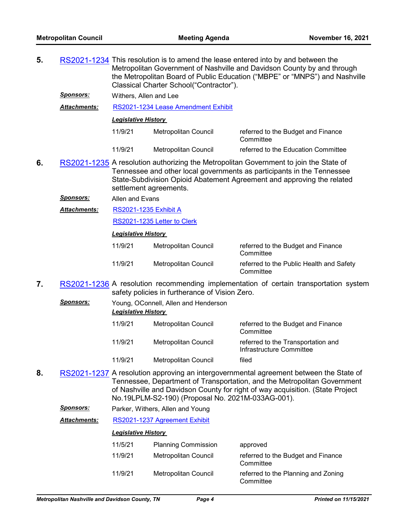- **5.** [RS2021-1234](http://nashville.legistar.com/gateway.aspx?m=l&id=/matter.aspx?key=13818) This resolution is to amend the lease entered into by and between the Metropolitan Government of Nashville and Davidson County by and through the Metropolitan Board of Public Education ("MBPE" or "MNPS") and Nashville Classical Charter School("Contractor"). *Sponsors:* Withers, Allen and Lee *Attachments:* [RS2021-1234 Lease Amendment Exhibit](http://nashville.legistar.com/gateway.aspx?M=F&ID=0e65b129-f66b-4a04-a29b-d05cfc872e58.pdf) *Legislative History*  11/9/21 Metropolitan Council referred to the Budget and Finance **Committee** 11/9/21 Metropolitan Council referred to the Education Committee **6.** [RS2021-1235](http://nashville.legistar.com/gateway.aspx?m=l&id=/matter.aspx?key=13848) A resolution authorizing the Metropolitan Government to join the State of Tennessee and other local governments as participants in the Tennessee State-Subdivision Opioid Abatement Agreement and approving the related settlement agreements.
	- *Sponsors:* Allen and Evans
	- [RS2021-1235 Exhibit A](http://nashville.legistar.com/gateway.aspx?M=F&ID=3cbeeccd-11b3-433f-b9b6-784c060986d5.PDF) *Attachments:*

[RS2021-1235 Letter to Clerk](http://nashville.legistar.com/gateway.aspx?M=F&ID=72f26464-c574-497e-bc8c-f9cc598e1684.PDF)

#### *Legislative History*

| 11/9/21 | Metropolitan Council | referred to the Budget and Finance<br>Committee       |
|---------|----------------------|-------------------------------------------------------|
| 11/9/21 | Metropolitan Council | referred to the Public Health and Safety<br>Committee |

- **7.** [RS2021-1236](http://nashville.legistar.com/gateway.aspx?m=l&id=/matter.aspx?key=13841) A resolution recommending implementation of certain transportation system safety policies in furtherance of Vision Zero.
	- *Sponsors:* Young, OConnell, Allen and Henderson *Legislative History*  11/9/21 Metropolitan Council referred to the Budget and Finance **Committee** 11/9/21 Metropolitan Council referred to the Transportation and Infrastructure Committee 11/9/21 Metropolitan Council filed
- **8.** [RS2021-1237](http://nashville.legistar.com/gateway.aspx?m=l&id=/matter.aspx?key=13850) A resolution approving an intergovernmental agreement between the State of Tennessee, Department of Transportation, and the Metropolitan Government of Nashville and Davidson County for right of way acquisition. (State Project No.19LPLM-S2-190) (Proposal No. 2021M-033AG-001).
	- *Sponsors:* Parker, Withers, Allen and Young

*Attachments:* [RS2021-1237 Agreement Exhibit](http://nashville.legistar.com/gateway.aspx?M=F&ID=7ace5087-195b-4ce4-9d50-09382cded551.pdf)

| 11/5/21 | <b>Planning Commission</b> | approved                                         |
|---------|----------------------------|--------------------------------------------------|
| 11/9/21 | Metropolitan Council       | referred to the Budget and Finance<br>Committee  |
| 11/9/21 | Metropolitan Council       | referred to the Planning and Zoning<br>Committee |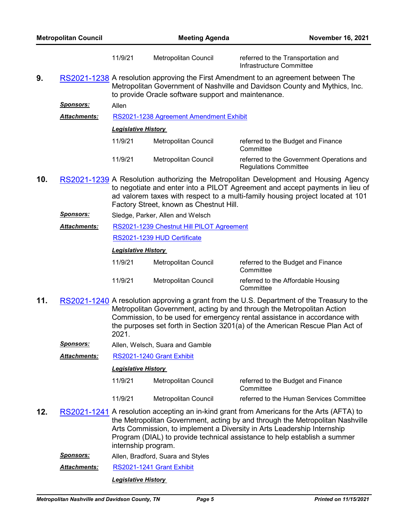|  | <b>Metropolitan Council</b> |
|--|-----------------------------|
|  |                             |

|     |                     | 11/9/21                          | Metropolitan Council                                | referred to the Transportation and<br>Infrastructure Committee                                                                                                                                                                                         |
|-----|---------------------|----------------------------------|-----------------------------------------------------|--------------------------------------------------------------------------------------------------------------------------------------------------------------------------------------------------------------------------------------------------------|
| 9.  |                     |                                  | to provide Oracle software support and maintenance. | RS2021-1238 A resolution approving the First Amendment to an agreement between The<br>Metropolitan Government of Nashville and Davidson County and Mythics, Inc.                                                                                       |
|     | Sponsors:           | Allen                            |                                                     |                                                                                                                                                                                                                                                        |
|     | <b>Attachments:</b> |                                  | RS2021-1238 Agreement Amendment Exhibit             |                                                                                                                                                                                                                                                        |
|     |                     | <b>Legislative History</b>       |                                                     |                                                                                                                                                                                                                                                        |
|     |                     | 11/9/21                          | Metropolitan Council                                | referred to the Budget and Finance<br>Committee                                                                                                                                                                                                        |
|     |                     | 11/9/21                          | Metropolitan Council                                | referred to the Government Operations and<br><b>Regulations Committee</b>                                                                                                                                                                              |
| 10. |                     |                                  | Factory Street, known as Chestnut Hill.             | RS2021-1239 A Resolution authorizing the Metropolitan Development and Housing Agency<br>to negotiate and enter into a PILOT Agreement and accept payments in lieu of<br>ad valorem taxes with respect to a multi-family housing project located at 101 |
|     | <u>Sponsors:</u>    | Sledge, Parker, Allen and Welsch |                                                     |                                                                                                                                                                                                                                                        |
|     | Attachments:        |                                  | RS2021-1239 Chestnut Hill PILOT Agreement           |                                                                                                                                                                                                                                                        |
|     |                     |                                  | RS2021-1239 HUD Certificate                         |                                                                                                                                                                                                                                                        |
|     |                     | <b>Legislative History</b>       |                                                     |                                                                                                                                                                                                                                                        |
|     |                     | 11/9/21                          | Metropolitan Council                                | referred to the Budget and Finance<br>Committee                                                                                                                                                                                                        |
|     |                     | 11/9/21                          | Metropolitan Council                                | referred to the Affordable Housing<br>Committee                                                                                                                                                                                                        |
| 11. |                     |                                  |                                                     | RS2021-1240 A resolution approving a grant from the U.S. Department of the Treasury to the<br>Metropolitan Government, acting by and through the Metropolitan Action<br>Commission, to be used for emergency rental assistance in accordance with      |

- 2021. *Sponsors:* Allen, Welsch, Suara and Gamble
- *Attachments:* [RS2021-1240 Grant Exhibit](http://nashville.legistar.com/gateway.aspx?M=F&ID=964e246a-34fd-4ac5-8228-a561d189ad2f.pdf)

## *Legislative History*

11/9/21 Metropolitan Council referred to the Budget and Finance **Committee** 11/9/21 Metropolitan Council referred to the Human Services Committee

the purposes set forth in Section 3201(a) of the American Rescue Plan Act of

- **12.** [RS2021-1241](http://nashville.legistar.com/gateway.aspx?m=l&id=/matter.aspx?key=13826) A resolution accepting an in-kind grant from Americans for the Arts (AFTA) to the Metropolitan Government, acting by and through the Metropolitan Nashville Arts Commission, to implement a Diversity in Arts Leadership Internship Program (DIAL) to provide technical assistance to help establish a summer internship program.
	- *Sponsors:* Allen, Bradford, Suara and Styles

*Attachments:* [RS2021-1241 Grant Exhibit](http://nashville.legistar.com/gateway.aspx?M=F&ID=5ecc0c1e-6237-40b5-98e5-61d6a45a630a.pdf)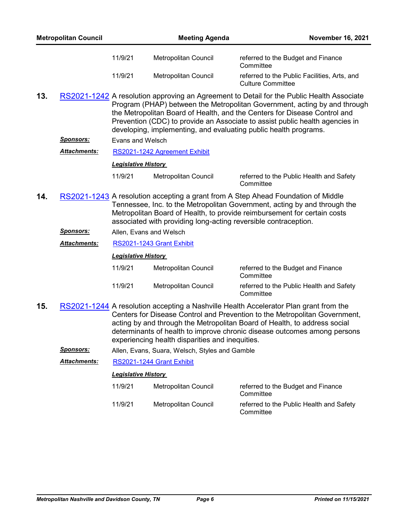| <b>Metropolitan Council</b> |                     | <b>Meeting Agenda</b>      |                                                                 | <b>November 16, 2021</b>                                                                                                                                                                                                                                                                                                                                                                                |
|-----------------------------|---------------------|----------------------------|-----------------------------------------------------------------|---------------------------------------------------------------------------------------------------------------------------------------------------------------------------------------------------------------------------------------------------------------------------------------------------------------------------------------------------------------------------------------------------------|
|                             |                     | 11/9/21                    | Metropolitan Council                                            | referred to the Budget and Finance<br>Committee                                                                                                                                                                                                                                                                                                                                                         |
|                             |                     | 11/9/21                    | Metropolitan Council                                            | referred to the Public Facilities, Arts, and<br><b>Culture Committee</b>                                                                                                                                                                                                                                                                                                                                |
| 13.                         |                     |                            |                                                                 | RS2021-1242 A resolution approving an Agreement to Detail for the Public Health Associate<br>Program (PHAP) between the Metropolitan Government, acting by and through<br>the Metropolitan Board of Health, and the Centers for Disease Control and<br>Prevention (CDC) to provide an Associate to assist public health agencies in<br>developing, implementing, and evaluating public health programs. |
|                             | <u>Sponsors:</u>    | Evans and Welsch           |                                                                 |                                                                                                                                                                                                                                                                                                                                                                                                         |
|                             | <b>Attachments:</b> |                            | RS2021-1242 Agreement Exhibit                                   |                                                                                                                                                                                                                                                                                                                                                                                                         |
|                             |                     | <b>Legislative History</b> |                                                                 |                                                                                                                                                                                                                                                                                                                                                                                                         |
|                             |                     | 11/9/21                    | Metropolitan Council                                            | referred to the Public Health and Safety<br>Committee                                                                                                                                                                                                                                                                                                                                                   |
| 14.                         |                     |                            | associated with providing long-acting reversible contraception. | RS2021-1243 A resolution accepting a grant from A Step Ahead Foundation of Middle<br>Tennessee, Inc. to the Metropolitan Government, acting by and through the<br>Metropolitan Board of Health, to provide reimbursement for certain costs                                                                                                                                                              |
|                             | Sponsors:           | Allen, Evans and Welsch    |                                                                 |                                                                                                                                                                                                                                                                                                                                                                                                         |
|                             | <b>Attachments:</b> |                            | RS2021-1243 Grant Exhibit                                       |                                                                                                                                                                                                                                                                                                                                                                                                         |
|                             |                     | <b>Legislative History</b> |                                                                 |                                                                                                                                                                                                                                                                                                                                                                                                         |
|                             |                     | 11/9/21                    | Metropolitan Council                                            | referred to the Budget and Finance<br>Committee                                                                                                                                                                                                                                                                                                                                                         |
|                             |                     | 11/9/21                    | <b>Metropolitan Council</b>                                     | referred to the Public Health and Safety<br>Committee                                                                                                                                                                                                                                                                                                                                                   |
| 15.                         |                     |                            |                                                                 | RS2021-1244 A resolution accepting a Nashville Health Accelerator Plan grant from the<br>Centers for Disease Control and Prevention to the Metropolitan Government,                                                                                                                                                                                                                                     |

- acting by and through the Metropolitan Board of Health, to address social determinants of health to improve chronic disease outcomes among persons experiencing health disparities and inequities.
	- *Sponsors:* Allen, Evans, Suara, Welsch, Styles and Gamble

*Attachments:* [RS2021-1244 Grant Exhibit](http://nashville.legistar.com/gateway.aspx?M=F&ID=8f18617e-9b43-4ae6-97bf-4ef4bd5b1795.pdf)

| 11/9/21 | Metropolitan Council | referred to the Budget and Finance<br>Committee       |
|---------|----------------------|-------------------------------------------------------|
| 11/9/21 | Metropolitan Council | referred to the Public Health and Safety<br>Committee |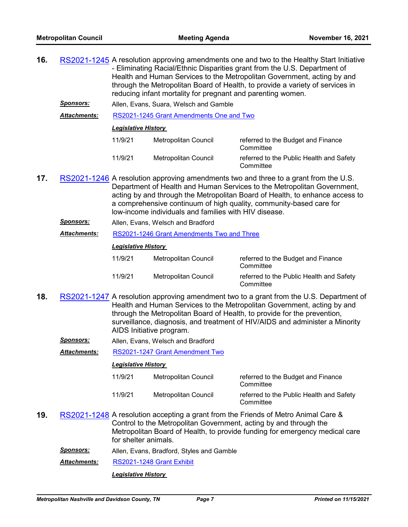| 16.                                                                                                                                                  |                     | RS2021-1245 A resolution approving amendments one and two to the Healthy Start Initiative<br>- Eliminating Racial/Ethnic Disparities grant from the U.S. Department of<br>Health and Human Services to the Metropolitan Government, acting by and<br>through the Metropolitan Board of Health, to provide a variety of services in<br>reducing infant mortality for pregnant and parenting women. |                                                                                                                                                                                                                                |                                                       |  |  |  |
|------------------------------------------------------------------------------------------------------------------------------------------------------|---------------------|---------------------------------------------------------------------------------------------------------------------------------------------------------------------------------------------------------------------------------------------------------------------------------------------------------------------------------------------------------------------------------------------------|--------------------------------------------------------------------------------------------------------------------------------------------------------------------------------------------------------------------------------|-------------------------------------------------------|--|--|--|
|                                                                                                                                                      | <b>Sponsors:</b>    |                                                                                                                                                                                                                                                                                                                                                                                                   | Allen, Evans, Suara, Welsch and Gamble                                                                                                                                                                                         |                                                       |  |  |  |
|                                                                                                                                                      | <u>Attachments:</u> |                                                                                                                                                                                                                                                                                                                                                                                                   | RS2021-1245 Grant Amendments One and Two                                                                                                                                                                                       |                                                       |  |  |  |
|                                                                                                                                                      |                     | Legislative History                                                                                                                                                                                                                                                                                                                                                                               |                                                                                                                                                                                                                                |                                                       |  |  |  |
|                                                                                                                                                      |                     | 11/9/21                                                                                                                                                                                                                                                                                                                                                                                           | Metropolitan Council                                                                                                                                                                                                           | referred to the Budget and Finance<br>Committee       |  |  |  |
|                                                                                                                                                      |                     | 11/9/21                                                                                                                                                                                                                                                                                                                                                                                           | Metropolitan Council                                                                                                                                                                                                           | referred to the Public Health and Safety<br>Committee |  |  |  |
| RS2021-1246 A resolution approving amendments two and three to a grant from the U.S.<br>17.<br>low-income individuals and families with HIV disease. |                     |                                                                                                                                                                                                                                                                                                                                                                                                   | Department of Health and Human Services to the Metropolitan Government,<br>acting by and through the Metropolitan Board of Health, to enhance access to<br>a comprehensive continuum of high quality, community-based care for |                                                       |  |  |  |
|                                                                                                                                                      | <b>Sponsors:</b>    | Allen, Evans, Welsch and Bradford                                                                                                                                                                                                                                                                                                                                                                 |                                                                                                                                                                                                                                |                                                       |  |  |  |
|                                                                                                                                                      | <b>Attachments:</b> | RS2021-1246 Grant Amendments Two and Three                                                                                                                                                                                                                                                                                                                                                        |                                                                                                                                                                                                                                |                                                       |  |  |  |
|                                                                                                                                                      |                     | <b>Legislative History</b>                                                                                                                                                                                                                                                                                                                                                                        |                                                                                                                                                                                                                                |                                                       |  |  |  |
|                                                                                                                                                      |                     | 11/9/21                                                                                                                                                                                                                                                                                                                                                                                           | Metropolitan Council                                                                                                                                                                                                           | referred to the Budget and Finance                    |  |  |  |

| 11/9/21 | Metropolitan Council | referred to the Budget and Finance<br>Committee       |
|---------|----------------------|-------------------------------------------------------|
| 11/9/21 | Metropolitan Council | referred to the Public Health and Safety<br>Committee |

- **18.** [RS2021-1247](http://nashville.legistar.com/gateway.aspx?m=l&id=/matter.aspx?key=13827) A resolution approving amendment two to a grant from the U.S. Department of Health and Human Services to the Metropolitan Government, acting by and through the Metropolitan Board of Health, to provide for the prevention, surveillance, diagnosis, and treatment of HIV/AIDS and administer a Minority AIDS Initiative program.
	- *Sponsors:* Allen, Evans, Welsch and Bradford

*Attachments:* [RS2021-1247 Grant Amendment Two](http://nashville.legistar.com/gateway.aspx?M=F&ID=b691cfba-dcdc-4747-a326-7e4e19187e49.pdf)

# *Legislative History*

- 11/9/21 Metropolitan Council referred to the Budget and Finance **Committee** 11/9/21 Metropolitan Council referred to the Public Health and Safety **Committee**
- **19.** [RS2021-1248](http://nashville.legistar.com/gateway.aspx?m=l&id=/matter.aspx?key=13837) A resolution accepting a grant from the Friends of Metro Animal Care & Control to the Metropolitan Government, acting by and through the Metropolitan Board of Health, to provide funding for emergency medical care for shelter animals.
	- *Sponsors:* Allen, Evans, Bradford, Styles and Gamble

*Attachments:* [RS2021-1248 Grant Exhibit](http://nashville.legistar.com/gateway.aspx?M=F&ID=3b3da73b-0914-4892-b22b-525aa8b82654.pdf)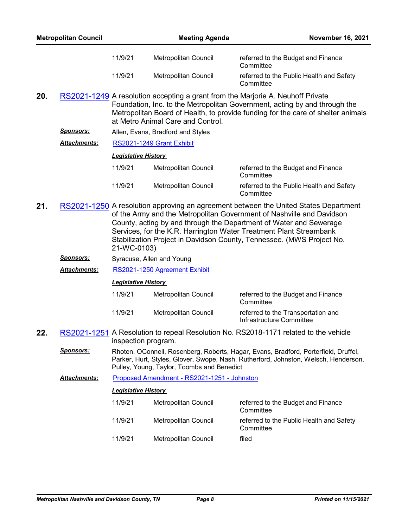|     | <b>Metropolitan Council</b> |                            | <b>Meeting Agenda</b>                                                                                                                                                                                                                                                                                                                                                              | <b>November 16, 2021</b>                                                                                                                                                                                                                          |  |  |
|-----|-----------------------------|----------------------------|------------------------------------------------------------------------------------------------------------------------------------------------------------------------------------------------------------------------------------------------------------------------------------------------------------------------------------------------------------------------------------|---------------------------------------------------------------------------------------------------------------------------------------------------------------------------------------------------------------------------------------------------|--|--|
|     |                             | 11/9/21                    | Metropolitan Council                                                                                                                                                                                                                                                                                                                                                               | referred to the Budget and Finance<br>Committee                                                                                                                                                                                                   |  |  |
|     |                             | 11/9/21                    | Metropolitan Council                                                                                                                                                                                                                                                                                                                                                               | referred to the Public Health and Safety<br>Committee                                                                                                                                                                                             |  |  |
| 20. |                             |                            | at Metro Animal Care and Control.                                                                                                                                                                                                                                                                                                                                                  | RS2021-1249 A resolution accepting a grant from the Marjorie A. Neuhoff Private<br>Foundation, Inc. to the Metropolitan Government, acting by and through the<br>Metropolitan Board of Health, to provide funding for the care of shelter animals |  |  |
|     | <u>Sponsors:</u>            |                            | Allen, Evans, Bradford and Styles                                                                                                                                                                                                                                                                                                                                                  |                                                                                                                                                                                                                                                   |  |  |
|     | <b>Attachments:</b>         |                            | RS2021-1249 Grant Exhibit                                                                                                                                                                                                                                                                                                                                                          |                                                                                                                                                                                                                                                   |  |  |
|     |                             | <b>Legislative History</b> |                                                                                                                                                                                                                                                                                                                                                                                    |                                                                                                                                                                                                                                                   |  |  |
|     |                             | 11/9/21                    | Metropolitan Council                                                                                                                                                                                                                                                                                                                                                               | referred to the Budget and Finance<br>Committee                                                                                                                                                                                                   |  |  |
|     |                             | 11/9/21                    | Metropolitan Council                                                                                                                                                                                                                                                                                                                                                               | referred to the Public Health and Safety<br>Committee                                                                                                                                                                                             |  |  |
| 21. |                             | 21-WC-0103)                | RS2021-1250 A resolution approving an agreement between the United States Department<br>of the Army and the Metropolitan Government of Nashville and Davidson<br>County, acting by and through the Department of Water and Sewerage<br>Services, for the K.R. Harrington Water Treatment Plant Streambank<br>Stabilization Project in Davidson County, Tennessee. (MWS Project No. |                                                                                                                                                                                                                                                   |  |  |
|     | <u>Sponsors:</u>            |                            | Syracuse, Allen and Young                                                                                                                                                                                                                                                                                                                                                          |                                                                                                                                                                                                                                                   |  |  |
|     | <b>Attachments:</b>         |                            | RS2021-1250 Agreement Exhibit                                                                                                                                                                                                                                                                                                                                                      |                                                                                                                                                                                                                                                   |  |  |
|     |                             | <b>Legislative History</b> |                                                                                                                                                                                                                                                                                                                                                                                    |                                                                                                                                                                                                                                                   |  |  |
|     |                             | 11/9/21                    | Metropolitan Council                                                                                                                                                                                                                                                                                                                                                               | referred to the Budget and Finance<br>Committee                                                                                                                                                                                                   |  |  |
|     |                             | 11/9/21                    | Metropolitan Council                                                                                                                                                                                                                                                                                                                                                               | referred to the Transportation and<br>Infrastructure Committee                                                                                                                                                                                    |  |  |
| 22. |                             | inspection program.        |                                                                                                                                                                                                                                                                                                                                                                                    | RS2021-1251 A Resolution to repeal Resolution No. RS2018-1171 related to the vehicle                                                                                                                                                              |  |  |
|     | <b>Sponsors:</b>            |                            | Pulley, Young, Taylor, Toombs and Benedict                                                                                                                                                                                                                                                                                                                                         | Rhoten, OConnell, Rosenberg, Roberts, Hagar, Evans, Bradford, Porterfield, Druffel,<br>Parker, Hurt, Styles, Glover, Swope, Nash, Rutherford, Johnston, Welsch, Henderson,                                                                        |  |  |
|     | <b>Attachments:</b>         |                            | Proposed Amendment - RS2021-1251 - Johnston                                                                                                                                                                                                                                                                                                                                        |                                                                                                                                                                                                                                                   |  |  |
|     |                             | <b>Legislative History</b> |                                                                                                                                                                                                                                                                                                                                                                                    |                                                                                                                                                                                                                                                   |  |  |
|     |                             | 11/9/21                    | Metropolitan Council                                                                                                                                                                                                                                                                                                                                                               | referred to the Budget and Finance<br>Committee                                                                                                                                                                                                   |  |  |
|     |                             | 11/9/21                    | Metropolitan Council                                                                                                                                                                                                                                                                                                                                                               | referred to the Public Health and Safety<br>Committee                                                                                                                                                                                             |  |  |
|     |                             | 11/9/21                    | Metropolitan Council                                                                                                                                                                                                                                                                                                                                                               | filed                                                                                                                                                                                                                                             |  |  |
|     |                             |                            |                                                                                                                                                                                                                                                                                                                                                                                    |                                                                                                                                                                                                                                                   |  |  |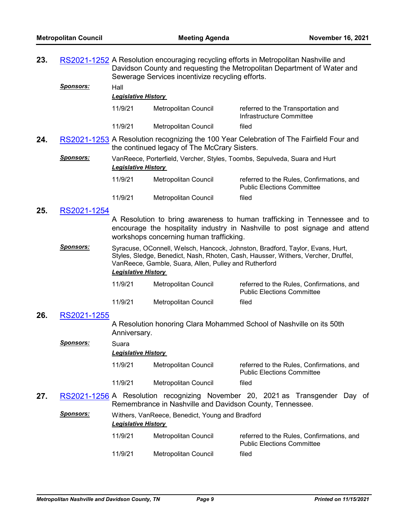| 23. |                  | RS2021-1252 A Resolution encouraging recycling efforts in Metropolitan Nashville and<br>Davidson County and requesting the Metropolitan Department of Water and<br>Sewerage Services incentivize recycling efforts.                                       |                                              |                                                                                                                                                        |  |  |
|-----|------------------|-----------------------------------------------------------------------------------------------------------------------------------------------------------------------------------------------------------------------------------------------------------|----------------------------------------------|--------------------------------------------------------------------------------------------------------------------------------------------------------|--|--|
|     | <b>Sponsors:</b> | Hall<br><b>Legislative History</b>                                                                                                                                                                                                                        |                                              |                                                                                                                                                        |  |  |
|     |                  | 11/9/21                                                                                                                                                                                                                                                   | Metropolitan Council                         | referred to the Transportation and<br>Infrastructure Committee                                                                                         |  |  |
|     |                  | 11/9/21                                                                                                                                                                                                                                                   | Metropolitan Council                         | filed                                                                                                                                                  |  |  |
| 24. |                  |                                                                                                                                                                                                                                                           | the continued legacy of The McCrary Sisters. | RS2021-1253 A Resolution recognizing the 100 Year Celebration of The Fairfield Four and                                                                |  |  |
|     | <b>Sponsors:</b> | VanReece, Porterfield, Vercher, Styles, Toombs, Sepulveda, Suara and Hurt<br><b>Legislative History</b>                                                                                                                                                   |                                              |                                                                                                                                                        |  |  |
|     |                  | 11/9/21                                                                                                                                                                                                                                                   | Metropolitan Council                         | referred to the Rules, Confirmations, and<br><b>Public Elections Committee</b>                                                                         |  |  |
|     |                  | 11/9/21                                                                                                                                                                                                                                                   | Metropolitan Council                         | filed                                                                                                                                                  |  |  |
| 25. | RS2021-1254      |                                                                                                                                                                                                                                                           |                                              |                                                                                                                                                        |  |  |
|     |                  |                                                                                                                                                                                                                                                           | workshops concerning human trafficking.      | A Resolution to bring awareness to human trafficking in Tennessee and to<br>encourage the hospitality industry in Nashville to post signage and attend |  |  |
|     | <b>Sponsors:</b> | Syracuse, OConnell, Welsch, Hancock, Johnston, Bradford, Taylor, Evans, Hurt,<br>Styles, Sledge, Benedict, Nash, Rhoten, Cash, Hausser, Withers, Vercher, Druffel,<br>VanReece, Gamble, Suara, Allen, Pulley and Rutherford<br><b>Legislative History</b> |                                              |                                                                                                                                                        |  |  |
|     |                  | 11/9/21                                                                                                                                                                                                                                                   | Metropolitan Council                         | referred to the Rules, Confirmations, and<br><b>Public Elections Committee</b>                                                                         |  |  |
|     |                  | 11/9/21                                                                                                                                                                                                                                                   | Metropolitan Council                         | filed                                                                                                                                                  |  |  |
| 26. | RS2021-1255      |                                                                                                                                                                                                                                                           |                                              |                                                                                                                                                        |  |  |

A Resolution honoring Clara Mohammed School of Nashville on its 50th Anniversary.

|     | Sponsors: | Suara<br><b>Legislative History</b> |                                                                                   |                                                                                |  |  |
|-----|-----------|-------------------------------------|-----------------------------------------------------------------------------------|--------------------------------------------------------------------------------|--|--|
|     |           | 11/9/21                             | Metropolitan Council                                                              | referred to the Rules, Confirmations, and<br><b>Public Elections Committee</b> |  |  |
|     |           | 11/9/21                             | Metropolitan Council                                                              | filed                                                                          |  |  |
| 27. |           |                                     | RS2021-1256 A Resolution recognizing November 20, 2021 as Transgender Day of<br>. |                                                                                |  |  |

Remembrance in Nashville and Davidson County, Tennessee.

| Sponsors: | Withers, VanReece, Benedict, Young and Bradford |
|-----------|-------------------------------------------------|
|           | <b>Leaislative History</b>                      |

| 11/9/21 | Metropolitan Council | referred to the Rules, Confirmations, and<br><b>Public Elections Committee</b> |
|---------|----------------------|--------------------------------------------------------------------------------|
| 11/9/21 | Metropolitan Council | filed                                                                          |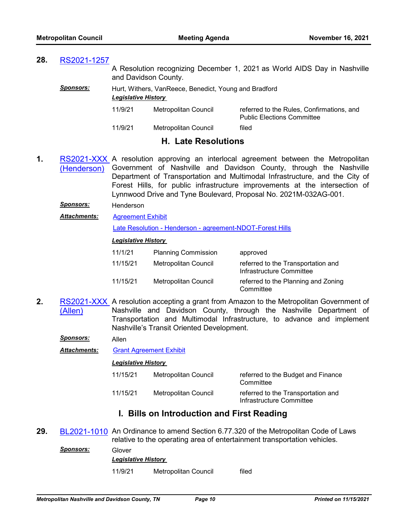# **28.** [RS2021-1257](http://nashville.legistar.com/gateway.aspx?m=l&id=/matter.aspx?key=13854)

A Resolution recognizing December 1, 2021 as World AIDS Day in Nashville and Davidson County.

# **Sponsors:** Hurt, Withers, VanReece, Benedict, Young and Bradford *Legislative History*

| 11/9/21 | Metropolitan Council | referred to the Rules, Confirmations, and<br><b>Public Elections Committee</b> |
|---------|----------------------|--------------------------------------------------------------------------------|
| 11/9/21 | Metropolitan Council | filed                                                                          |

# **H. Late Resolutions**

- **1.** [RS2021-XXX](http://nashville.legistar.com/gateway.aspx?m=l&id=/matter.aspx?key=13861) A resolution approving an interlocal agreement between the Metropolitan (Henderson) Government of Nashville and Davidson County, through the Nashville Department of Transportation and Multimodal Infrastructure, and the City of Forest Hills, for public infrastructure improvements at the intersection of Lynnwood Drive and Tyne Boulevard, Proposal No. 2021M-032AG-001.
	- *Sponsors:* Henderson
	- [Agreement Exhibit](http://nashville.legistar.com/gateway.aspx?M=F&ID=aefbd353-35d4-470e-a936-d49fdae618a9.pdf) [Late Resolution - Henderson - agreement-NDOT-Forest Hills](http://nashville.legistar.com/gateway.aspx?M=F&ID=66f908f2-5aa6-4f61-af44-f85b2ce7bd54.pdf) *Attachments: Legislative History*  11/1/21 Planning Commission approved 11/15/21 Metropolitan Council referred to the Transportation and Infrastructure Committee 11/15/21 Metropolitan Council referred to the Planning and Zoning **Committee**
- **2.** <mark>RS2021-XXX</mark> A resolution accepting a grant from Amazon to the Metropolitan Government of (Allen) Nashville and Davidson County, through the Nashville Department of Transportation and Multimodal Infrastructure, to advance and implement Nashville's Transit Oriented Development.

*Sponsors:* Allen

*Attachments:* [Grant Agreement Exhibit](http://nashville.legistar.com/gateway.aspx?M=F&ID=3412de05-219e-4384-9b62-de467ce146e9.pdf)

## *Legislative History*

| 11/15/21 | Metropolitan Council | referred to the Budget and Finance<br>Committee                |
|----------|----------------------|----------------------------------------------------------------|
| 11/15/21 | Metropolitan Council | referred to the Transportation and<br>Infrastructure Committee |

# **I. Bills on Introduction and First Reading**

**29.** [BL2021-1010](http://nashville.legistar.com/gateway.aspx?m=l&id=/matter.aspx?key=13853) An Ordinance to amend Section 6.77.320 of the Metropolitan Code of Laws relative to the operating area of entertainment transportation vehicles.

| Sponsors: | Glover<br><b>Legislative History</b> |                      |       |
|-----------|--------------------------------------|----------------------|-------|
|           | 11/9/21                              | Metropolitan Council | filed |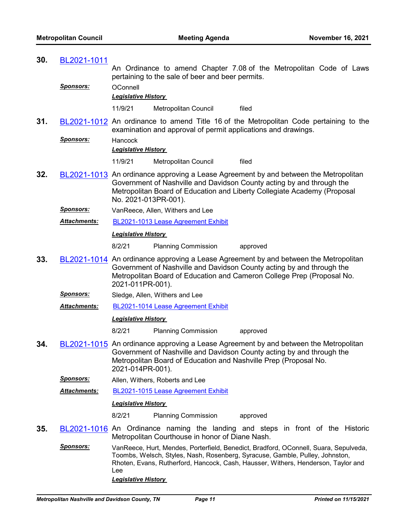| 30. | BL2021-1011         |                                       |                                                               |                                                                                                                                                                                                                                                           |
|-----|---------------------|---------------------------------------|---------------------------------------------------------------|-----------------------------------------------------------------------------------------------------------------------------------------------------------------------------------------------------------------------------------------------------------|
|     |                     |                                       | pertaining to the sale of beer and beer permits.              | An Ordinance to amend Chapter 7.08 of the Metropolitan Code of Laws                                                                                                                                                                                       |
|     | <u>Sponsors:</u>    | OConnell                              |                                                               |                                                                                                                                                                                                                                                           |
|     |                     | <b>Legislative History</b>            |                                                               |                                                                                                                                                                                                                                                           |
|     |                     | 11/9/21                               | Metropolitan Council                                          | filed                                                                                                                                                                                                                                                     |
| 31. |                     |                                       | examination and approval of permit applications and drawings. | BL2021-1012 An ordinance to amend Title 16 of the Metropolitan Code pertaining to the                                                                                                                                                                     |
|     | <u>Sponsors:</u>    | Hancock<br><b>Legislative History</b> |                                                               |                                                                                                                                                                                                                                                           |
|     |                     | 11/9/21                               | Metropolitan Council                                          | filed                                                                                                                                                                                                                                                     |
| 32. |                     | No. 2021-013PR-001).                  |                                                               | BL2021-1013 An ordinance approving a Lease Agreement by and between the Metropolitan<br>Government of Nashville and Davidson County acting by and through the<br>Metropolitan Board of Education and Liberty Collegiate Academy (Proposal                 |
|     | <b>Sponsors:</b>    |                                       | VanReece, Allen, Withers and Lee                              |                                                                                                                                                                                                                                                           |
|     | Attachments:        |                                       | BL2021-1013 Lease Agreement Exhibit                           |                                                                                                                                                                                                                                                           |
|     |                     | <b>Legislative History</b>            |                                                               |                                                                                                                                                                                                                                                           |
|     |                     | 8/2/21                                | <b>Planning Commission</b>                                    | approved                                                                                                                                                                                                                                                  |
| 33. |                     | 2021-011PR-001).                      |                                                               | BL2021-1014 An ordinance approving a Lease Agreement by and between the Metropolitan<br>Government of Nashville and Davidson County acting by and through the<br>Metropolitan Board of Education and Cameron College Prep (Proposal No.                   |
|     | <u>Sponsors:</u>    |                                       | Sledge, Allen, Withers and Lee                                |                                                                                                                                                                                                                                                           |
|     | Attachments:        |                                       | BL2021-1014 Lease Agreement Exhibit                           |                                                                                                                                                                                                                                                           |
|     |                     | <b>Legislative History</b>            |                                                               |                                                                                                                                                                                                                                                           |
|     |                     | 8/2/21                                | <b>Planning Commission</b>                                    | approved                                                                                                                                                                                                                                                  |
| 34. |                     | 2021-014PR-001).                      |                                                               | BL2021-1015 An ordinance approving a Lease Agreement by and between the Metropolitan<br>Government of Nashville and Davidson County acting by and through the<br>Metropolitan Board of Education and Nashville Prep (Proposal No.                         |
|     | <u>Sponsors:</u>    |                                       | Allen, Withers, Roberts and Lee                               |                                                                                                                                                                                                                                                           |
|     | <b>Attachments:</b> |                                       | BL2021-1015 Lease Agreement Exhibit                           |                                                                                                                                                                                                                                                           |
|     |                     | <b>Legislative History</b>            |                                                               |                                                                                                                                                                                                                                                           |
|     |                     | 8/2/21                                | <b>Planning Commission</b>                                    | approved                                                                                                                                                                                                                                                  |
| 35. |                     |                                       | Metropolitan Courthouse in honor of Diane Nash.               | BL2021-1016 An Ordinance naming the landing and steps in front of the Historic                                                                                                                                                                            |
|     | Sponsors:           | Lee<br><b>Legislative History</b>     |                                                               | VanReece, Hurt, Mendes, Porterfield, Benedict, Bradford, OConnell, Suara, Sepulveda,<br>Toombs, Welsch, Styles, Nash, Rosenberg, Syracuse, Gamble, Pulley, Johnston,<br>Rhoten, Evans, Rutherford, Hancock, Cash, Hausser, Withers, Henderson, Taylor and |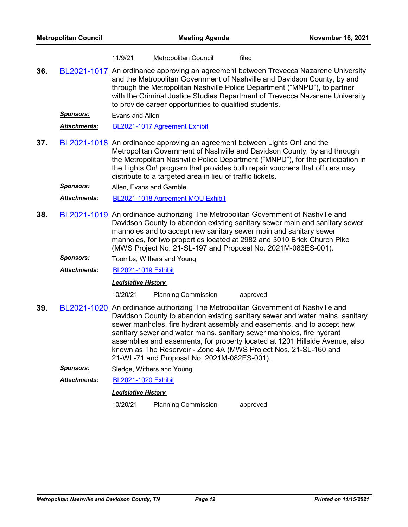| 11/9/21 | Metropolitan Council | filed |
|---------|----------------------|-------|
|---------|----------------------|-------|

**36.** [BL2021-1017](http://nashville.legistar.com/gateway.aspx?m=l&id=/matter.aspx?key=13849) An ordinance approving an agreement between Trevecca Nazarene University and the Metropolitan Government of Nashville and Davidson County, by and through the Metropolitan Nashville Police Department ("MNPD"), to partner with the Criminal Justice Studies Department of Trevecca Nazarene University to provide career opportunities to qualified students.

*Sponsors:* Evans and Allen

*Attachments:* [BL2021-1017 Agreement Exhibit](http://nashville.legistar.com/gateway.aspx?M=F&ID=5d93d406-8d0c-40e6-9c57-188848646326.pdf)

**37.** [BL2021-1018](http://nashville.legistar.com/gateway.aspx?m=l&id=/matter.aspx?key=13817) An ordinance approving an agreement between Lights On! and the Metropolitan Government of Nashville and Davidson County, by and through the Metropolitan Nashville Police Department ("MNPD"), for the participation in the Lights On! program that provides bulb repair vouchers that officers may distribute to a targeted area in lieu of traffic tickets.

*Sponsors:* Allen, Evans and Gamble

*Attachments:* [BL2021-1018 Agreement MOU Exhibit](http://nashville.legistar.com/gateway.aspx?M=F&ID=777f5928-e321-420f-aa02-2be2905e141a.pdf)

- **38.** [BL2021-1019](http://nashville.legistar.com/gateway.aspx?m=l&id=/matter.aspx?key=13821) An ordinance authorizing The Metropolitan Government of Nashville and Davidson County to abandon existing sanitary sewer main and sanitary sewer manholes and to accept new sanitary sewer main and sanitary sewer manholes, for two properties located at 2982 and 3010 Brick Church Pike (MWS Project No. 21-SL-197 and Proposal No. 2021M-083ES-001).
	- *Sponsors:* Toombs, Withers and Young

*Attachments:* [BL2021-1019 Exhibit](http://nashville.legistar.com/gateway.aspx?M=F&ID=f1c0e6ee-0357-44d9-92c3-11678ddfe872.pdf)

## *Legislative History*

10/20/21 Planning Commission approved

- **39.** [BL2021-1020](http://nashville.legistar.com/gateway.aspx?m=l&id=/matter.aspx?key=13822) An ordinance authorizing The Metropolitan Government of Nashville and Davidson County to abandon existing sanitary sewer and water mains, sanitary sewer manholes, fire hydrant assembly and easements, and to accept new sanitary sewer and water mains, sanitary sewer manholes, fire hydrant assemblies and easements, for property located at 1201 Hillside Avenue, also known as The Reservoir - Zone 4A (MWS Project Nos. 21-SL-160 and 21-WL-71 and Proposal No. 2021M-082ES-001).
	- *Sponsors:* Sledge, Withers and Young

*Attachments:* [BL2021-1020 Exhibit](http://nashville.legistar.com/gateway.aspx?M=F&ID=eb5a764d-b154-42d1-beb3-689c09a74fe6.pdf)

#### *Legislative History*

10/20/21 Planning Commission approved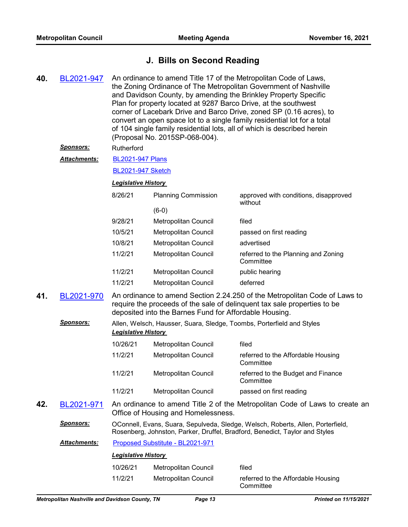# **J. Bills on Second Reading**

**40.** [BL2021-947](http://nashville.legistar.com/gateway.aspx?m=l&id=/matter.aspx?key=13648) An ordinance to amend Title 17 of the Metropolitan Code of Laws, the Zoning Ordinance of The Metropolitan Government of Nashville and Davidson County, by amending the Brinkley Property Specific Plan for property located at 9287 Barco Drive, at the southwest corner of Lacebark Drive and Barco Drive, zoned SP (0.16 acres), to convert an open space lot to a single family residential lot for a total of 104 single family residential lots, all of which is described herein (Proposal No. 2015SP-068-004).

#### *Sponsors:* Rutherford

[BL2021-947 Plans](http://nashville.legistar.com/gateway.aspx?M=F&ID=835c4291-a9d1-4645-91ef-77179ecbc0da.pdf) *Attachments:*

[BL2021-947 Sketch](http://nashville.legistar.com/gateway.aspx?M=F&ID=8f29acdb-d38e-46df-91e8-1c17a20d324f.docx)

## *Legislative History*

| 8/26/21 | <b>Planning Commission</b> | approved with conditions, disapproved<br>without |
|---------|----------------------------|--------------------------------------------------|
|         | (6-0)                      |                                                  |
| 9/28/21 | Metropolitan Council       | filed                                            |
| 10/5/21 | Metropolitan Council       | passed on first reading                          |
| 10/8/21 | Metropolitan Council       | advertised                                       |
| 11/2/21 | Metropolitan Council       | referred to the Planning and Zoning<br>Committee |
| 11/2/21 | Metropolitan Council       | public hearing                                   |
| 11/2/21 | Metropolitan Council       | deferred                                         |

**41.** [BL2021-970](http://nashville.legistar.com/gateway.aspx?m=l&id=/matter.aspx?key=13801) An ordinance to amend Section 2.24.250 of the Metropolitan Code of Laws to require the proceeds of the sale of delinquent tax sale properties to be deposited into the Barnes Fund for Affordable Housing.

# *Sponsors:* Allen, Welsch, Hausser, Suara, Sledge, Toombs, Porterfield and Styles *Legislative History*

| 10/26/21 | Metropolitan Council | filed                                           |
|----------|----------------------|-------------------------------------------------|
| 11/2/21  | Metropolitan Council | referred to the Affordable Housing<br>Committee |
| 11/2/21  | Metropolitan Council | referred to the Budget and Finance<br>Committee |
| 11/2/21  | Metropolitan Council | passed on first reading                         |

**42.** [BL2021-971](http://nashville.legistar.com/gateway.aspx?m=l&id=/matter.aspx?key=13734) An ordinance to amend Title 2 of the Metropolitan Code of Laws to create an Office of Housing and Homelessness.

*Sponsors:* OConnell, Evans, Suara, Sepulveda, Sledge, Welsch, Roberts, Allen, Porterfield, Rosenberg, Johnston, Parker, Druffel, Bradford, Benedict, Taylor and Styles

*Attachments:* [Proposed Substitute - BL2021-971](http://nashville.legistar.com/gateway.aspx?M=F&ID=26c240df-959f-47d4-a609-c0b004985e1a.docx)

| 10/26/21 | Metropolitan Council | filed                                           |
|----------|----------------------|-------------------------------------------------|
| 11/2/21  | Metropolitan Council | referred to the Affordable Housing<br>Committee |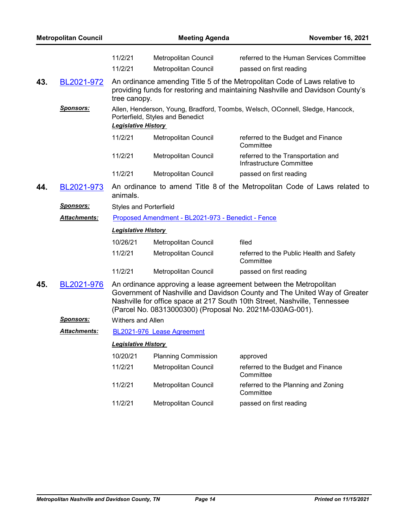|     | <b>Metropolitan Council</b> |                               | <b>Meeting Agenda</b>                                    | <b>November 16, 2021</b>                                                                                                                                                                                                    |  |
|-----|-----------------------------|-------------------------------|----------------------------------------------------------|-----------------------------------------------------------------------------------------------------------------------------------------------------------------------------------------------------------------------------|--|
|     |                             | 11/2/21                       | Metropolitan Council                                     | referred to the Human Services Committee                                                                                                                                                                                    |  |
|     |                             | 11/2/21                       | <b>Metropolitan Council</b>                              | passed on first reading                                                                                                                                                                                                     |  |
| 43. | <u>BL2021-972</u>           | tree canopy.                  |                                                          | An ordinance amending Title 5 of the Metropolitan Code of Laws relative to<br>providing funds for restoring and maintaining Nashville and Davidson County's                                                                 |  |
|     | <u>Sponsors:</u>            | <b>Legislative History</b>    | Porterfield, Styles and Benedict                         | Allen, Henderson, Young, Bradford, Toombs, Welsch, OConnell, Sledge, Hancock,                                                                                                                                               |  |
|     |                             | 11/2/21                       | Metropolitan Council                                     | referred to the Budget and Finance<br>Committee                                                                                                                                                                             |  |
|     |                             | 11/2/21                       | Metropolitan Council                                     | referred to the Transportation and<br>Infrastructure Committee                                                                                                                                                              |  |
|     |                             | 11/2/21                       | Metropolitan Council                                     | passed on first reading                                                                                                                                                                                                     |  |
| 44. | BL2021-973                  | animals.                      |                                                          | An ordinance to amend Title 8 of the Metropolitan Code of Laws related to                                                                                                                                                   |  |
|     | <b>Sponsors:</b>            | <b>Styles and Porterfield</b> |                                                          |                                                                                                                                                                                                                             |  |
|     | <u> Attachments:</u>        |                               | Proposed Amendment - BL2021-973 - Benedict - Fence       |                                                                                                                                                                                                                             |  |
|     |                             | <b>Legislative History</b>    |                                                          |                                                                                                                                                                                                                             |  |
|     |                             | 10/26/21                      | Metropolitan Council                                     | filed                                                                                                                                                                                                                       |  |
|     |                             | 11/2/21                       | Metropolitan Council                                     | referred to the Public Health and Safety<br>Committee                                                                                                                                                                       |  |
|     |                             | 11/2/21                       | Metropolitan Council                                     | passed on first reading                                                                                                                                                                                                     |  |
| 45. | BL2021-976                  |                               | (Parcel No. 08313000300) (Proposal No. 2021M-030AG-001). | An ordinance approving a lease agreement between the Metropolitan<br>Government of Nashville and Davidson County and The United Way of Greater<br>Nashville for office space at 217 South 10th Street, Nashville, Tennessee |  |
|     | <b>Sponsors:</b>            | Withers and Allen             |                                                          |                                                                                                                                                                                                                             |  |
|     | Attachments:                |                               | BL2021-976 Lease Agreement                               |                                                                                                                                                                                                                             |  |
|     |                             | <b>Legislative History</b>    |                                                          |                                                                                                                                                                                                                             |  |
|     |                             | 10/20/21                      | <b>Planning Commission</b>                               | approved                                                                                                                                                                                                                    |  |
|     |                             | 11/2/21                       | <b>Metropolitan Council</b>                              | referred to the Budget and Finance<br>Committee                                                                                                                                                                             |  |
|     |                             | 11/2/21                       | Metropolitan Council                                     | referred to the Planning and Zoning<br>Committee                                                                                                                                                                            |  |
|     |                             | 11/2/21                       | Metropolitan Council                                     | passed on first reading                                                                                                                                                                                                     |  |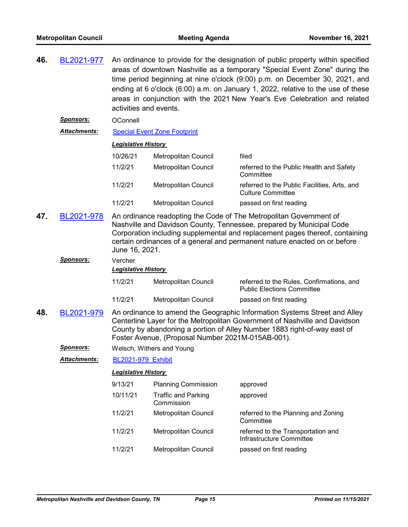**46.** [BL2021-977](http://nashville.legistar.com/gateway.aspx?m=l&id=/matter.aspx?key=13805) An ordinance to provide for the designation of public property within specified areas of downtown Nashville as a temporary "Special Event Zone" during the time period beginning at nine o'clock (9:00) p.m. on December 30, 2021, and ending at 6 o'clock (6:00) a.m. on January 1, 2022, relative to the use of these areas in conjunction with the 2021 New Year's Eve Celebration and related activities and events.

*Sponsors:* OConnell

*Attachments:* [Special Event Zone Footprint](http://nashville.legistar.com/gateway.aspx?M=F&ID=af8968db-ab4c-4a03-a07e-61da1f39ed31.pdf)

## *Legislative History*

| 10/26/21 | <b>Metropolitan Council</b> | filed                                                                    |
|----------|-----------------------------|--------------------------------------------------------------------------|
| 11/2/21  | Metropolitan Council        | referred to the Public Health and Safety<br>Committee                    |
| 11/2/21  | Metropolitan Council        | referred to the Public Facilities, Arts, and<br><b>Culture Committee</b> |
| 11/2/21  | Metropolitan Council        | passed on first reading                                                  |

**47.** [BL2021-978](http://nashville.legistar.com/gateway.aspx?m=l&id=/matter.aspx?key=13751) An ordinance readopting the Code of The Metropolitan Government of Nashville and Davidson County, Tennessee, prepared by Municipal Code Corporation including supplemental and replacement pages thereof, containing certain ordinances of a general and permanent nature enacted on or before June 16, 2021.

| Sponsors: | Vercher |
|-----------|---------|
|-----------|---------|

#### *Legislative History*

- 11/2/21 Metropolitan Council referred to the Rules, Confirmations, and Public Elections Committee 11/2/21 Metropolitan Council passed on first reading
- **48.** [BL2021-979](http://nashville.legistar.com/gateway.aspx?m=l&id=/matter.aspx?key=13746) An ordinance to amend the Geographic Information Systems Street and Alley Centerline Layer for the Metropolitan Government of Nashville and Davidson County by abandoning a portion of Alley Number 1883 right-of-way east of Foster Avenue, (Proposal Number 2021M-015AB-001).

| <b>Sponsors:</b> | Welsch, Withers and Young |
|------------------|---------------------------|
|------------------|---------------------------|

*Attachments:* [BL2021-979\\_Exhibit](http://nashville.legistar.com/gateway.aspx?M=F&ID=d3330dec-b8b7-49d0-926e-03ebbaa23d38.DOCX)

| 9/13/21  | <b>Planning Commission</b>               | approved                                                       |
|----------|------------------------------------------|----------------------------------------------------------------|
| 10/11/21 | <b>Traffic and Parking</b><br>Commission | approved                                                       |
| 11/2/21  | Metropolitan Council                     | referred to the Planning and Zoning<br>Committee               |
| 11/2/21  | Metropolitan Council                     | referred to the Transportation and<br>Infrastructure Committee |
| 11/2/21  | <b>Metropolitan Council</b>              | passed on first reading                                        |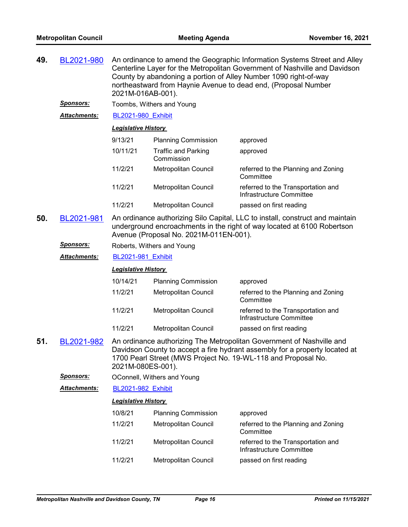| 49.               | BL2021-980       | An ordinance to amend the Geographic Information Systems Street and Alley<br>Centerline Layer for the Metropolitan Government of Nashville and Davidson<br>County by abandoning a portion of Alley Number 1090 right-of-way<br>northeastward from Haynie Avenue to dead end, (Proposal Number<br>2021M-016AB-001). |                                          |                                                                                                                                                                                                                       |  |
|-------------------|------------------|--------------------------------------------------------------------------------------------------------------------------------------------------------------------------------------------------------------------------------------------------------------------------------------------------------------------|------------------------------------------|-----------------------------------------------------------------------------------------------------------------------------------------------------------------------------------------------------------------------|--|
|                   | <u>Sponsors:</u> |                                                                                                                                                                                                                                                                                                                    | Toombs, Withers and Young                |                                                                                                                                                                                                                       |  |
|                   | Attachments:     | <b>BL2021-980 Exhibit</b>                                                                                                                                                                                                                                                                                          |                                          |                                                                                                                                                                                                                       |  |
|                   |                  | <b>Legislative History</b>                                                                                                                                                                                                                                                                                         |                                          |                                                                                                                                                                                                                       |  |
|                   |                  | 9/13/21                                                                                                                                                                                                                                                                                                            | <b>Planning Commission</b>               | approved                                                                                                                                                                                                              |  |
|                   |                  | 10/11/21                                                                                                                                                                                                                                                                                                           | <b>Traffic and Parking</b><br>Commission | approved                                                                                                                                                                                                              |  |
|                   |                  | 11/2/21                                                                                                                                                                                                                                                                                                            | Metropolitan Council                     | referred to the Planning and Zoning<br>Committee                                                                                                                                                                      |  |
|                   |                  | 11/2/21                                                                                                                                                                                                                                                                                                            | <b>Metropolitan Council</b>              | referred to the Transportation and<br>Infrastructure Committee                                                                                                                                                        |  |
|                   |                  | 11/2/21                                                                                                                                                                                                                                                                                                            | <b>Metropolitan Council</b>              | passed on first reading                                                                                                                                                                                               |  |
| 50.<br>BL2021-981 |                  | An ordinance authorizing Silo Capital, LLC to install, construct and maintain<br>underground encroachments in the right of way located at 6100 Robertson<br>Avenue (Proposal No. 2021M-011EN-001).                                                                                                                 |                                          |                                                                                                                                                                                                                       |  |
|                   | <b>Sponsors:</b> | Roberts, Withers and Young                                                                                                                                                                                                                                                                                         |                                          |                                                                                                                                                                                                                       |  |
|                   | Attachments:     | <b>BL2021-981 Exhibit</b>                                                                                                                                                                                                                                                                                          |                                          |                                                                                                                                                                                                                       |  |
|                   |                  | <b>Legislative History</b>                                                                                                                                                                                                                                                                                         |                                          |                                                                                                                                                                                                                       |  |
|                   |                  |                                                                                                                                                                                                                                                                                                                    |                                          |                                                                                                                                                                                                                       |  |
|                   |                  | 10/14/21                                                                                                                                                                                                                                                                                                           | <b>Planning Commission</b>               | approved                                                                                                                                                                                                              |  |
|                   |                  | 11/2/21                                                                                                                                                                                                                                                                                                            | Metropolitan Council                     | referred to the Planning and Zoning<br>Committee                                                                                                                                                                      |  |
|                   |                  | 11/2/21                                                                                                                                                                                                                                                                                                            | Metropolitan Council                     | referred to the Transportation and<br>Infrastructure Committee                                                                                                                                                        |  |
|                   |                  | 11/2/21                                                                                                                                                                                                                                                                                                            | Metropolitan Council                     | passed on first reading                                                                                                                                                                                               |  |
| 51.               | BL2021-982       | 2021M-080ES-001).                                                                                                                                                                                                                                                                                                  |                                          | An ordinance authorizing The Metropolitan Government of Nashville and<br>Davidson County to accept a fire hydrant assembly for a property located at<br>1700 Pearl Street (MWS Project No. 19-WL-118 and Proposal No. |  |
|                   | <b>Sponsors:</b> |                                                                                                                                                                                                                                                                                                                    | OConnell, Withers and Young              |                                                                                                                                                                                                                       |  |
|                   | Attachments:     | <b>BL2021-982 Exhibit</b>                                                                                                                                                                                                                                                                                          |                                          |                                                                                                                                                                                                                       |  |
|                   |                  | <b>Legislative History</b>                                                                                                                                                                                                                                                                                         |                                          |                                                                                                                                                                                                                       |  |
|                   |                  | 10/8/21                                                                                                                                                                                                                                                                                                            | <b>Planning Commission</b>               | approved                                                                                                                                                                                                              |  |
|                   |                  | 11/2/21                                                                                                                                                                                                                                                                                                            | Metropolitan Council                     | referred to the Planning and Zoning<br>Committee                                                                                                                                                                      |  |
|                   |                  | 11/2/21                                                                                                                                                                                                                                                                                                            | Metropolitan Council                     | referred to the Transportation and<br>Infrastructure Committee                                                                                                                                                        |  |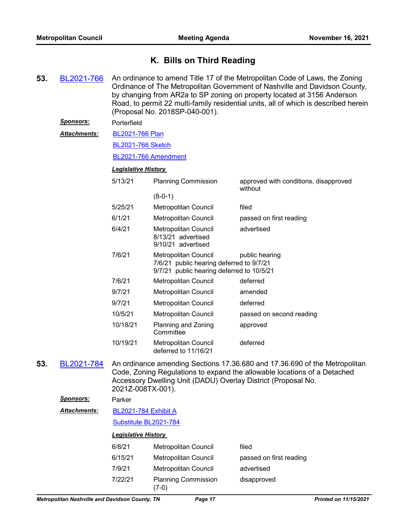# **K. Bills on Third Reading**

**53.** [BL2021-766](http://nashville.legistar.com/gateway.aspx?m=l&id=/matter.aspx?key=2302) An ordinance to amend Title 17 of the Metropolitan Code of Laws, the Zoning Ordinance of The Metropolitan Government of Nashville and Davidson County, by changing from AR2a to SP zoning on property located at 3156 Anderson Road, to permit 22 multi-family residential units, all of which is described herein (Proposal No. 2018SP-040-001). *Sponsors:* Porterfield [BL2021-766 Plan](http://nashville.legistar.com/gateway.aspx?M=F&ID=b37648fb-f041-45af-9755-a1371938b506.pdf) [BL2021-766 Sketch](http://nashville.legistar.com/gateway.aspx?M=F&ID=ee2af55a-7c18-4acf-aeca-0e7a21f67f40.docx) [BL2021-766 Amendment](http://nashville.legistar.com/gateway.aspx?M=F&ID=50ddd5ea-6baa-47eb-a16e-c974aebc20ce.docx) *Attachments: Legislative History*  5/13/21 Planning Commission approved with conditions, disapproved without (8-0-1) 5/25/21 Metropolitan Council filed 6/1/21 Metropolitan Council passed on first reading 6/4/21 Metropolitan Council advertised 8/13/21 advertised 9/10/21 advertised 7/6/21 Metropolitan Council **public hearing** 7/6/21 public hearing deferred to 9/7/21 9/7/21 public hearing deferred to 10/5/21 7/6/21 Metropolitan Council deferred 9/7/21 Metropolitan Council amended 9/7/21 Metropolitan Council deferred 10/5/21 Metropolitan Council passed on second reading 10/18/21 Planning and Zoning **Committee** approved 10/19/21 Metropolitan Council deferred deferred to 11/16/21 **53.** [BL2021-784](http://nashville.legistar.com/gateway.aspx?m=l&id=/matter.aspx?key=2372) An ordinance amending Sections 17.36.680 and 17.36.690 of the Metropolitan Code, Zoning Regulations to expand the allowable locations of a Detached Accessory Dwelling Unit (DADU) Overlay District (Proposal No. 2021Z-008TX-001). *Sponsors:* Parker [BL2021-784 Exhibit A](http://nashville.legistar.com/gateway.aspx?M=F&ID=6e9c7010-d004-491f-8367-ab334fe1ba8f.pdf) [Substitute BL2021-784](http://nashville.legistar.com/gateway.aspx?M=F&ID=381aaa61-6061-4250-8dbf-8f1a75e2fbdc.docx) *Attachments: Legislative History*  6/8/21 Metropolitan Council filed 6/15/21 Metropolitan Council passed on first reading 7/9/21 Metropolitan Council advertised 7/22/21 Planning Commission disapproved (7-0)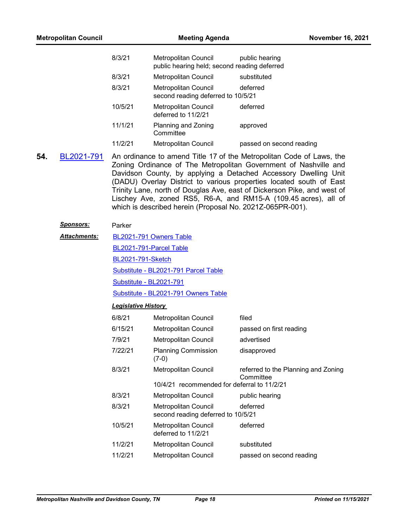| <b>Metropolitan Council</b> | <b>Meeting Agenda</b> |                                                                      |                                                                                                                                          | <b>November 16, 2021</b> |
|-----------------------------|-----------------------|----------------------------------------------------------------------|------------------------------------------------------------------------------------------------------------------------------------------|--------------------------|
| 8/3/21                      |                       | Metropolitan Council<br>public hearing held; second reading deferred | public hearing                                                                                                                           |                          |
|                             | 8/3/21                | Metropolitan Council                                                 | substituted                                                                                                                              |                          |
|                             | 8/3/21                | Metropolitan Council<br>second reading deferred to 10/5/21           | deferred                                                                                                                                 |                          |
|                             | 10/5/21               | Metropolitan Council<br>deferred to 11/2/21                          | deferred                                                                                                                                 |                          |
|                             | 11/1/21               | Planning and Zoning<br>Committee                                     | approved                                                                                                                                 |                          |
|                             | 11/2/21               | Metropolitan Council                                                 | passed on second reading                                                                                                                 |                          |
| 54.<br>BL2021-791           |                       |                                                                      | An ordinance to amend Title 17 of the Metropolitan Code of Laws, the<br>Zoning Ordinance of The Metropolitan Government of Nashville and |                          |

Davidson County, by applying a Detached Accessory Dwelling Unit (DADU) Overlay District to various properties located south of East Trinity Lane, north of Douglas Ave, east of Dickerson Pike, and west of Lischey Ave, zoned RS5, R6-A, and RM15-A (109.45 acres), all of which is described herein (Proposal No. 2021Z-065PR-001).

# *Sponsors:* Parker

| <b>Attachments:</b> | BL2021-791 Owners Table              |
|---------------------|--------------------------------------|
|                     | BL2021-791-Parcel Table              |
|                     | <b>BL2021-791-Sketch</b>             |
|                     | Substitute - BL2021-791 Parcel Table |
|                     | Substitute - BL2021-791              |

[Substitute - BL2021-791 Owners Table](http://nashville.legistar.com/gateway.aspx?M=F&ID=5d2c57d9-4b55-4e64-9857-adfcc4690e93.pdf)

| 6/8/21  | <b>Metropolitan Council</b>                                       | filed                                            |
|---------|-------------------------------------------------------------------|--------------------------------------------------|
| 6/15/21 | <b>Metropolitan Council</b>                                       | passed on first reading                          |
| 7/9/21  | <b>Metropolitan Council</b>                                       | advertised                                       |
| 7/22/21 | <b>Planning Commission</b><br>(7-0)                               | disapproved                                      |
| 8/3/21  | <b>Metropolitan Council</b>                                       | referred to the Planning and Zoning<br>Committee |
|         | 10/4/21 recommended for deferral to 11/2/21                       |                                                  |
| 8/3/21  | <b>Metropolitan Council</b>                                       | public hearing                                   |
| 8/3/21  | <b>Metropolitan Council</b><br>second reading deferred to 10/5/21 | deferred                                         |
| 10/5/21 | <b>Metropolitan Council</b><br>deferred to 11/2/21                | deferred                                         |
| 11/2/21 | <b>Metropolitan Council</b>                                       | substituted                                      |
| 11/2/21 | Metropolitan Council                                              | passed on second reading                         |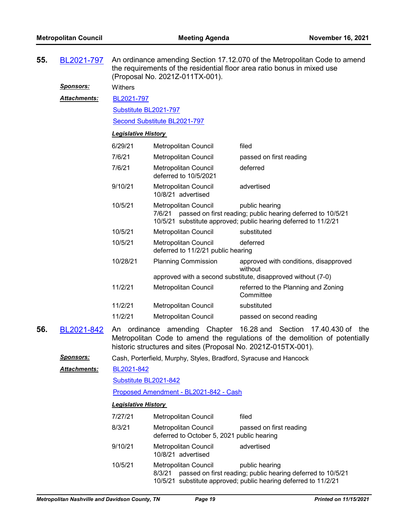| 55. | BL2021-797          | An ordinance amending Section 17.12.070 of the Metropolitan Code to amend<br>the requirements of the residential floor area ratio bonus in mixed use<br>(Proposal No. 2021Z-011TX-001). |                                                                                                |                                                                                                                                                  |  |
|-----|---------------------|-----------------------------------------------------------------------------------------------------------------------------------------------------------------------------------------|------------------------------------------------------------------------------------------------|--------------------------------------------------------------------------------------------------------------------------------------------------|--|
|     | <u>Sponsors:</u>    | Withers                                                                                                                                                                                 |                                                                                                |                                                                                                                                                  |  |
|     | <b>Attachments:</b> | BL2021-797                                                                                                                                                                              |                                                                                                |                                                                                                                                                  |  |
|     |                     | Substitute BL2021-797                                                                                                                                                                   |                                                                                                |                                                                                                                                                  |  |
|     |                     |                                                                                                                                                                                         | Second Substitute BL2021-797                                                                   |                                                                                                                                                  |  |
|     |                     | <b>Legislative History</b>                                                                                                                                                              |                                                                                                |                                                                                                                                                  |  |
|     |                     | 6/29/21                                                                                                                                                                                 | Metropolitan Council                                                                           | filed                                                                                                                                            |  |
|     |                     | 7/6/21                                                                                                                                                                                  | Metropolitan Council                                                                           | passed on first reading                                                                                                                          |  |
|     |                     | 7/6/21                                                                                                                                                                                  | <b>Metropolitan Council</b><br>deferred to 10/5/2021                                           | deferred                                                                                                                                         |  |
|     |                     | 9/10/21                                                                                                                                                                                 | Metropolitan Council<br>10/8/21 advertised                                                     | advertised                                                                                                                                       |  |
|     |                     | 10/5/21                                                                                                                                                                                 | Metropolitan Council<br>7/6/21                                                                 | public hearing<br>passed on first reading; public hearing deferred to 10/5/21<br>10/5/21 substitute approved; public hearing deferred to 11/2/21 |  |
|     |                     | 10/5/21                                                                                                                                                                                 | Metropolitan Council                                                                           | substituted                                                                                                                                      |  |
|     |                     | 10/5/21                                                                                                                                                                                 | Metropolitan Council<br>deferred to 11/2/21 public hearing                                     | deferred                                                                                                                                         |  |
|     |                     | 10/28/21                                                                                                                                                                                | <b>Planning Commission</b>                                                                     | approved with conditions, disapproved<br>without                                                                                                 |  |
|     |                     | 11/2/21                                                                                                                                                                                 |                                                                                                | approved with a second substitute, disapproved without (7-0)                                                                                     |  |
|     |                     |                                                                                                                                                                                         | Metropolitan Council                                                                           | referred to the Planning and Zoning<br>Committee                                                                                                 |  |
|     |                     | 11/2/21                                                                                                                                                                                 | Metropolitan Council                                                                           | substituted                                                                                                                                      |  |
|     |                     | 11/2/21                                                                                                                                                                                 | Metropolitan Council                                                                           | passed on second reading                                                                                                                         |  |
| 56. | BL2021-842          |                                                                                                                                                                                         | An ordinance amending Chapter<br>historic structures and sites (Proposal No. 2021Z-015TX-001). | 16.28 and Section<br>17.40.430 of the<br>Metropolitan Code to amend the regulations of the demolition of potentially                             |  |
|     | <u>Sponsors:</u>    |                                                                                                                                                                                         | Cash, Porterfield, Murphy, Styles, Bradford, Syracuse and Hancock                              |                                                                                                                                                  |  |
|     | <b>Attachments:</b> | BL2021-842                                                                                                                                                                              |                                                                                                |                                                                                                                                                  |  |
|     |                     | Substitute BL2021-842                                                                                                                                                                   |                                                                                                |                                                                                                                                                  |  |
|     |                     |                                                                                                                                                                                         | Proposed Amendment - BL2021-842 - Cash                                                         |                                                                                                                                                  |  |
|     |                     | <b>Legislative History</b>                                                                                                                                                              |                                                                                                |                                                                                                                                                  |  |
|     |                     | 7/27/21                                                                                                                                                                                 | <b>Metropolitan Council</b>                                                                    | filed                                                                                                                                            |  |
|     |                     | 8/3/21                                                                                                                                                                                  | <b>Metropolitan Council</b><br>deferred to October 5, 2021 public hearing                      | passed on first reading                                                                                                                          |  |
|     |                     | 9/10/21                                                                                                                                                                                 | Metropolitan Council<br>10/8/21 advertised                                                     | advertised                                                                                                                                       |  |
|     |                     | 10/5/21                                                                                                                                                                                 | Metropolitan Council<br>8/3/21                                                                 | public hearing<br>passed on first reading; public hearing deferred to 10/5/21<br>10/5/21 substitute approved; public hearing deferred to 11/2/21 |  |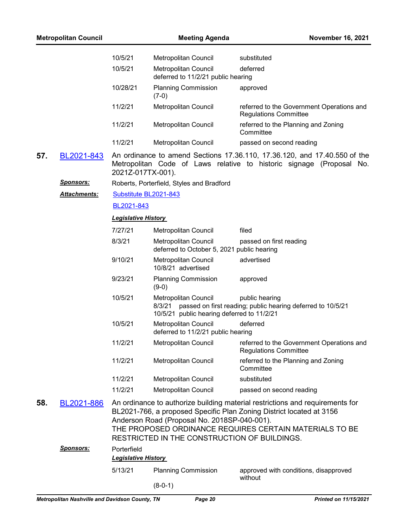| <b>Metropolitan Council</b> |                     |                            | <b>November 16, 2021</b>                                                                     |                                                                                                                                                                                                                  |
|-----------------------------|---------------------|----------------------------|----------------------------------------------------------------------------------------------|------------------------------------------------------------------------------------------------------------------------------------------------------------------------------------------------------------------|
|                             |                     | 10/5/21                    | Metropolitan Council                                                                         | substituted                                                                                                                                                                                                      |
|                             |                     | 10/5/21                    | <b>Metropolitan Council</b><br>deferred to 11/2/21 public hearing                            | deferred                                                                                                                                                                                                         |
|                             |                     | 10/28/21                   | <b>Planning Commission</b><br>$(7-0)$                                                        | approved                                                                                                                                                                                                         |
|                             |                     | 11/2/21                    | Metropolitan Council                                                                         | referred to the Government Operations and<br><b>Regulations Committee</b>                                                                                                                                        |
|                             |                     | 11/2/21                    | Metropolitan Council                                                                         | referred to the Planning and Zoning<br>Committee                                                                                                                                                                 |
|                             |                     | 11/2/21                    | Metropolitan Council                                                                         | passed on second reading                                                                                                                                                                                         |
| 57.                         | BL2021-843          | 2021Z-017TX-001).          |                                                                                              | An ordinance to amend Sections 17.36.110, 17.36.120, and 17.40.550 of the<br>Metropolitan Code of Laws relative to historic signage (Proposal No.                                                                |
|                             | <u>Sponsors:</u>    |                            | Roberts, Porterfield, Styles and Bradford                                                    |                                                                                                                                                                                                                  |
|                             | <b>Attachments:</b> | Substitute BL2021-843      |                                                                                              |                                                                                                                                                                                                                  |
|                             |                     | BL2021-843                 |                                                                                              |                                                                                                                                                                                                                  |
|                             |                     | <b>Legislative History</b> |                                                                                              |                                                                                                                                                                                                                  |
|                             |                     | 7/27/21                    | Metropolitan Council                                                                         | filed                                                                                                                                                                                                            |
|                             |                     | 8/3/21                     | Metropolitan Council<br>deferred to October 5, 2021 public hearing                           | passed on first reading                                                                                                                                                                                          |
|                             |                     | 9/10/21                    | Metropolitan Council<br>10/8/21 advertised                                                   | advertised                                                                                                                                                                                                       |
|                             |                     | 9/23/21                    | <b>Planning Commission</b><br>$(9-0)$                                                        | approved                                                                                                                                                                                                         |
|                             |                     | 10/5/21                    | Metropolitan Council<br>8/3/21<br>10/5/21 public hearing deferred to 11/2/21                 | public hearing<br>passed on first reading; public hearing deferred to 10/5/21                                                                                                                                    |
|                             |                     | 10/5/21                    | Metropolitan Council<br>deferred to 11/2/21 public hearing                                   | deferred                                                                                                                                                                                                         |
|                             |                     | 11/2/21                    | Metropolitan Council                                                                         | referred to the Government Operations and<br><b>Regulations Committee</b>                                                                                                                                        |
|                             |                     | 11/2/21                    | Metropolitan Council                                                                         | referred to the Planning and Zoning<br>Committee                                                                                                                                                                 |
|                             |                     | 11/2/21                    | Metropolitan Council                                                                         | substituted                                                                                                                                                                                                      |
|                             |                     | 11/2/21                    | Metropolitan Council                                                                         | passed on second reading                                                                                                                                                                                         |
| 58.                         | BL2021-886          |                            | Anderson Road (Proposal No. 2018SP-040-001).<br>RESTRICTED IN THE CONSTRUCTION OF BUILDINGS. | An ordinance to authorize building material restrictions and requirements for<br>BL2021-766, a proposed Specific Plan Zoning District located at 3156<br>THE PROPOSED ORDINANCE REQUIRES CERTAIN MATERIALS TO BE |
|                             | Sponsors:           | Porterfield                |                                                                                              |                                                                                                                                                                                                                  |
|                             |                     | <b>Legislative History</b> |                                                                                              |                                                                                                                                                                                                                  |
|                             |                     | 5/13/21                    | <b>Planning Commission</b>                                                                   | approved with conditions, disapproved<br>without                                                                                                                                                                 |
|                             |                     |                            | $(8-0-1)$                                                                                    |                                                                                                                                                                                                                  |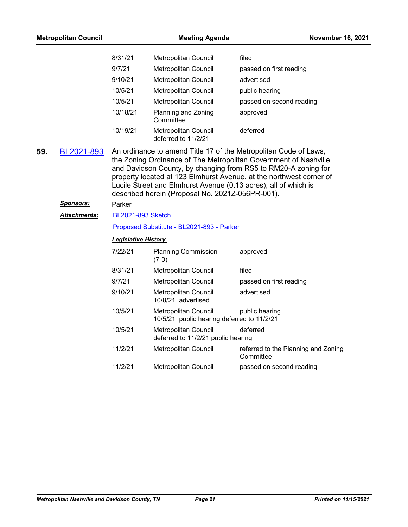| <b>Metropolitan Council</b> |                     |                                           | <b>Meeting Agenda</b>                                                     |                                                                                                                                                                                                                                                                                                                                                  |  |  |
|-----------------------------|---------------------|-------------------------------------------|---------------------------------------------------------------------------|--------------------------------------------------------------------------------------------------------------------------------------------------------------------------------------------------------------------------------------------------------------------------------------------------------------------------------------------------|--|--|
|                             |                     | 8/31/21                                   | Metropolitan Council                                                      | filed                                                                                                                                                                                                                                                                                                                                            |  |  |
|                             |                     | 9/7/21                                    | Metropolitan Council                                                      | passed on first reading                                                                                                                                                                                                                                                                                                                          |  |  |
|                             |                     | 9/10/21                                   | <b>Metropolitan Council</b>                                               | advertised                                                                                                                                                                                                                                                                                                                                       |  |  |
|                             |                     | 10/5/21                                   | <b>Metropolitan Council</b>                                               | public hearing                                                                                                                                                                                                                                                                                                                                   |  |  |
|                             |                     | 10/5/21                                   | Metropolitan Council                                                      | passed on second reading                                                                                                                                                                                                                                                                                                                         |  |  |
|                             |                     | 10/18/21                                  | Planning and Zoning<br>Committee                                          | approved                                                                                                                                                                                                                                                                                                                                         |  |  |
|                             |                     | 10/19/21                                  | Metropolitan Council<br>deferred to 11/2/21                               | deferred                                                                                                                                                                                                                                                                                                                                         |  |  |
| 59.                         | BL2021-893          |                                           | described herein (Proposal No. 2021Z-056PR-001).                          | An ordinance to amend Title 17 of the Metropolitan Code of Laws,<br>the Zoning Ordinance of The Metropolitan Government of Nashville<br>and Davidson County, by changing from RS5 to RM20-A zoning for<br>property located at 123 Elmhurst Avenue, at the northwest corner of<br>Lucile Street and Elmhurst Avenue (0.13 acres), all of which is |  |  |
|                             | <u>Sponsors:</u>    | Parker                                    |                                                                           |                                                                                                                                                                                                                                                                                                                                                  |  |  |
|                             | <b>Attachments:</b> | <b>BL2021-893 Sketch</b>                  |                                                                           |                                                                                                                                                                                                                                                                                                                                                  |  |  |
|                             |                     | Proposed Substitute - BL2021-893 - Parker |                                                                           |                                                                                                                                                                                                                                                                                                                                                  |  |  |
|                             |                     | <u> Legislative History</u>               |                                                                           |                                                                                                                                                                                                                                                                                                                                                  |  |  |
|                             |                     | 7/22/21                                   | <b>Planning Commission</b><br>$(7-0)$                                     | approved                                                                                                                                                                                                                                                                                                                                         |  |  |
|                             |                     | 8/31/21                                   | Metropolitan Council                                                      | filed                                                                                                                                                                                                                                                                                                                                            |  |  |
|                             |                     | 9/7/21                                    | Metropolitan Council                                                      | passed on first reading                                                                                                                                                                                                                                                                                                                          |  |  |
|                             |                     | 9/10/21                                   | Metropolitan Council<br>10/8/21 advertised                                | advertised                                                                                                                                                                                                                                                                                                                                       |  |  |
|                             |                     | 10/5/21                                   | <b>Metropolitan Council</b><br>10/5/21 public hearing deferred to 11/2/21 | public hearing                                                                                                                                                                                                                                                                                                                                   |  |  |
|                             |                     | 10/5/21                                   | Metropolitan Council<br>deferred to 11/2/21 public hearing                | deferred                                                                                                                                                                                                                                                                                                                                         |  |  |
|                             |                     | 11/2/21                                   | Metropolitan Council                                                      | referred to the Planning and Zoning<br>Committee                                                                                                                                                                                                                                                                                                 |  |  |
|                             |                     | 11/2/21                                   | <b>Metropolitan Council</b>                                               | passed on second reading                                                                                                                                                                                                                                                                                                                         |  |  |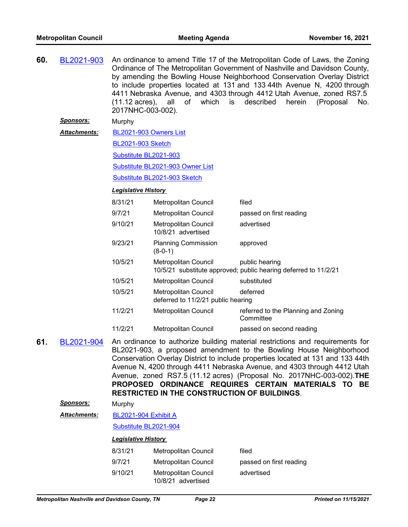| 60. | BL2021-903                                                                                                                                                                                                                                                                                                                                                                                                                                                                                                             | 2017NHC-003-002).           | $(11.12 \text{ acres})$ , all of which is                  | An ordinance to amend Title 17 of the Metropolitan Code of Laws, the Zoning<br>Ordinance of The Metropolitan Government of Nashville and Davidson County,<br>by amending the Bowling House Neighborhood Conservation Overlay District<br>to include properties located at 131 and 133 44th Avenue N, 4200 through<br>4411 Nebraska Avenue, and 4303 through 4412 Utah Avenue, zoned RS7.5<br>described<br>herein<br>(Proposal<br>No. |
|-----|------------------------------------------------------------------------------------------------------------------------------------------------------------------------------------------------------------------------------------------------------------------------------------------------------------------------------------------------------------------------------------------------------------------------------------------------------------------------------------------------------------------------|-----------------------------|------------------------------------------------------------|--------------------------------------------------------------------------------------------------------------------------------------------------------------------------------------------------------------------------------------------------------------------------------------------------------------------------------------------------------------------------------------------------------------------------------------|
|     | <u>Sponsors:</u>                                                                                                                                                                                                                                                                                                                                                                                                                                                                                                       | Murphy                      |                                                            |                                                                                                                                                                                                                                                                                                                                                                                                                                      |
|     | Attachments:                                                                                                                                                                                                                                                                                                                                                                                                                                                                                                           | BL2021-903 Owners List      |                                                            |                                                                                                                                                                                                                                                                                                                                                                                                                                      |
|     |                                                                                                                                                                                                                                                                                                                                                                                                                                                                                                                        | <b>BL2021-903 Sketch</b>    |                                                            |                                                                                                                                                                                                                                                                                                                                                                                                                                      |
|     |                                                                                                                                                                                                                                                                                                                                                                                                                                                                                                                        | Substitute BL2021-903       |                                                            |                                                                                                                                                                                                                                                                                                                                                                                                                                      |
|     |                                                                                                                                                                                                                                                                                                                                                                                                                                                                                                                        |                             | Substitute BL2021-903 Owner List                           |                                                                                                                                                                                                                                                                                                                                                                                                                                      |
|     |                                                                                                                                                                                                                                                                                                                                                                                                                                                                                                                        |                             | Substitute BL2021-903 Sketch                               |                                                                                                                                                                                                                                                                                                                                                                                                                                      |
|     |                                                                                                                                                                                                                                                                                                                                                                                                                                                                                                                        | <b>Legislative History</b>  |                                                            |                                                                                                                                                                                                                                                                                                                                                                                                                                      |
|     |                                                                                                                                                                                                                                                                                                                                                                                                                                                                                                                        | 8/31/21                     | <b>Metropolitan Council</b>                                | filed                                                                                                                                                                                                                                                                                                                                                                                                                                |
|     |                                                                                                                                                                                                                                                                                                                                                                                                                                                                                                                        | 9/7/21                      | <b>Metropolitan Council</b>                                | passed on first reading                                                                                                                                                                                                                                                                                                                                                                                                              |
|     |                                                                                                                                                                                                                                                                                                                                                                                                                                                                                                                        | 9/10/21                     | <b>Metropolitan Council</b><br>10/8/21 advertised          | advertised                                                                                                                                                                                                                                                                                                                                                                                                                           |
|     |                                                                                                                                                                                                                                                                                                                                                                                                                                                                                                                        | 9/23/21                     | <b>Planning Commission</b><br>$(8-0-1)$                    | approved                                                                                                                                                                                                                                                                                                                                                                                                                             |
|     |                                                                                                                                                                                                                                                                                                                                                                                                                                                                                                                        | 10/5/21                     | <b>Metropolitan Council</b>                                | public hearing<br>10/5/21 substitute approved; public hearing deferred to 11/2/21                                                                                                                                                                                                                                                                                                                                                    |
|     |                                                                                                                                                                                                                                                                                                                                                                                                                                                                                                                        | 10/5/21                     | <b>Metropolitan Council</b>                                | substituted                                                                                                                                                                                                                                                                                                                                                                                                                          |
|     |                                                                                                                                                                                                                                                                                                                                                                                                                                                                                                                        | 10/5/21                     | Metropolitan Council<br>deferred to 11/2/21 public hearing | deferred                                                                                                                                                                                                                                                                                                                                                                                                                             |
|     |                                                                                                                                                                                                                                                                                                                                                                                                                                                                                                                        | 11/2/21                     | Metropolitan Council                                       | referred to the Planning and Zoning<br>Committee                                                                                                                                                                                                                                                                                                                                                                                     |
|     |                                                                                                                                                                                                                                                                                                                                                                                                                                                                                                                        | 11/2/21                     | Metropolitan Council                                       | passed on second reading                                                                                                                                                                                                                                                                                                                                                                                                             |
| 61. | An ordinance to authorize building material restrictions and requirements for<br>BL2021-904<br>BL2021-903, a proposed amendment to the Bowling House Neighborhood<br>Conservation Overlay District to include properties located at 131 and 133 44th<br>Avenue N, 4200 through 4411 Nebraska Avenue, and 4303 through 4412 Utah<br>Avenue, zoned RS7.5 (11.12 acres) (Proposal No. 2017NHC-003-002). THE<br>PROPOSED ORDINANCE REQUIRES CERTAIN MATERIALS TO BE<br><b>RESTRICTED IN THE CONSTRUCTION OF BUILDINGS.</b> |                             |                                                            |                                                                                                                                                                                                                                                                                                                                                                                                                                      |
|     | Sponsors:                                                                                                                                                                                                                                                                                                                                                                                                                                                                                                              | Murphy                      |                                                            |                                                                                                                                                                                                                                                                                                                                                                                                                                      |
|     | <b>Attachments:</b>                                                                                                                                                                                                                                                                                                                                                                                                                                                                                                    | <b>BL2021-904 Exhibit A</b> |                                                            |                                                                                                                                                                                                                                                                                                                                                                                                                                      |
|     |                                                                                                                                                                                                                                                                                                                                                                                                                                                                                                                        | Substitute BL2021-904       |                                                            |                                                                                                                                                                                                                                                                                                                                                                                                                                      |
|     |                                                                                                                                                                                                                                                                                                                                                                                                                                                                                                                        | <b>Legislative History</b>  |                                                            |                                                                                                                                                                                                                                                                                                                                                                                                                                      |
|     |                                                                                                                                                                                                                                                                                                                                                                                                                                                                                                                        | 8/31/21                     | <b>Metropolitan Council</b>                                | filed                                                                                                                                                                                                                                                                                                                                                                                                                                |
|     |                                                                                                                                                                                                                                                                                                                                                                                                                                                                                                                        | 9/7/21                      | Metropolitan Council                                       | passed on first reading                                                                                                                                                                                                                                                                                                                                                                                                              |
|     |                                                                                                                                                                                                                                                                                                                                                                                                                                                                                                                        | 9/10/21                     | <b>Metropolitan Council</b><br>10/8/21 advertised          | advertised                                                                                                                                                                                                                                                                                                                                                                                                                           |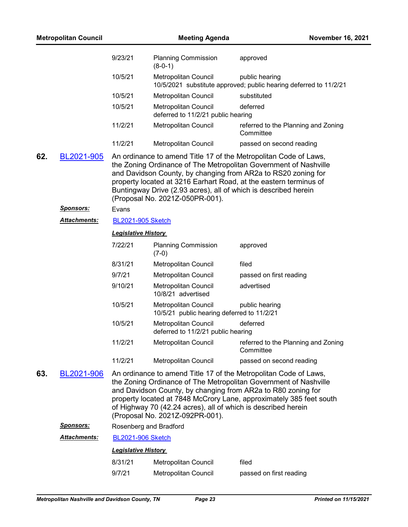| <b>Metropolitan Council</b> |                     |                                                                                                                                                                                                                                                                                                                                                                                 | <b>Meeting Agenda</b><br><b>November 16, 2021</b>                  |                                                                                                                                                                                                                                                                                                                                               |  |  |
|-----------------------------|---------------------|---------------------------------------------------------------------------------------------------------------------------------------------------------------------------------------------------------------------------------------------------------------------------------------------------------------------------------------------------------------------------------|--------------------------------------------------------------------|-----------------------------------------------------------------------------------------------------------------------------------------------------------------------------------------------------------------------------------------------------------------------------------------------------------------------------------------------|--|--|
|                             |                     | 9/23/21                                                                                                                                                                                                                                                                                                                                                                         | <b>Planning Commission</b><br>$(8-0-1)$                            | approved                                                                                                                                                                                                                                                                                                                                      |  |  |
|                             |                     | 10/5/21                                                                                                                                                                                                                                                                                                                                                                         | <b>Metropolitan Council</b>                                        | public hearing<br>10/5/2021 substitute approved; public hearing deferred to 11/2/21                                                                                                                                                                                                                                                           |  |  |
|                             |                     | 10/5/21                                                                                                                                                                                                                                                                                                                                                                         | Metropolitan Council                                               | substituted                                                                                                                                                                                                                                                                                                                                   |  |  |
|                             |                     | 10/5/21                                                                                                                                                                                                                                                                                                                                                                         | <b>Metropolitan Council</b><br>deferred to 11/2/21 public hearing  | deferred                                                                                                                                                                                                                                                                                                                                      |  |  |
|                             |                     | 11/2/21                                                                                                                                                                                                                                                                                                                                                                         | Metropolitan Council                                               | referred to the Planning and Zoning<br>Committee                                                                                                                                                                                                                                                                                              |  |  |
|                             |                     | 11/2/21                                                                                                                                                                                                                                                                                                                                                                         | Metropolitan Council                                               | passed on second reading                                                                                                                                                                                                                                                                                                                      |  |  |
| 62.                         | BL2021-905          |                                                                                                                                                                                                                                                                                                                                                                                 | (Proposal No. 2021Z-050PR-001).                                    | An ordinance to amend Title 17 of the Metropolitan Code of Laws,<br>the Zoning Ordinance of The Metropolitan Government of Nashville<br>and Davidson County, by changing from AR2a to RS20 zoning for<br>property located at 3216 Earhart Road, at the eastern terminus of<br>Buntingway Drive (2.93 acres), all of which is described herein |  |  |
|                             | <b>Sponsors:</b>    | Evans                                                                                                                                                                                                                                                                                                                                                                           |                                                                    |                                                                                                                                                                                                                                                                                                                                               |  |  |
|                             | <b>Attachments:</b> | <b>BL2021-905 Sketch</b>                                                                                                                                                                                                                                                                                                                                                        |                                                                    |                                                                                                                                                                                                                                                                                                                                               |  |  |
|                             |                     | <b>Legislative History</b>                                                                                                                                                                                                                                                                                                                                                      |                                                                    |                                                                                                                                                                                                                                                                                                                                               |  |  |
|                             |                     | 7/22/21                                                                                                                                                                                                                                                                                                                                                                         | <b>Planning Commission</b><br>$(7-0)$                              | approved                                                                                                                                                                                                                                                                                                                                      |  |  |
|                             |                     | 8/31/21                                                                                                                                                                                                                                                                                                                                                                         | Metropolitan Council                                               | filed                                                                                                                                                                                                                                                                                                                                         |  |  |
|                             |                     | 9/7/21                                                                                                                                                                                                                                                                                                                                                                          | Metropolitan Council                                               | passed on first reading                                                                                                                                                                                                                                                                                                                       |  |  |
|                             |                     | 9/10/21                                                                                                                                                                                                                                                                                                                                                                         | Metropolitan Council<br>10/8/21 advertised                         | advertised                                                                                                                                                                                                                                                                                                                                    |  |  |
|                             |                     | 10/5/21                                                                                                                                                                                                                                                                                                                                                                         | Metropolitan Council<br>10/5/21 public hearing deferred to 11/2/21 | public hearing                                                                                                                                                                                                                                                                                                                                |  |  |
|                             |                     | 10/5/21                                                                                                                                                                                                                                                                                                                                                                         | <b>Metropolitan Council</b><br>deferred to 11/2/21 public hearing  | deferred                                                                                                                                                                                                                                                                                                                                      |  |  |
|                             |                     | 11/2/21                                                                                                                                                                                                                                                                                                                                                                         | <b>Metropolitan Council</b>                                        | referred to the Planning and Zoning<br>Committee                                                                                                                                                                                                                                                                                              |  |  |
|                             |                     | 11/2/21                                                                                                                                                                                                                                                                                                                                                                         | Metropolitan Council                                               | passed on second reading                                                                                                                                                                                                                                                                                                                      |  |  |
| 63.                         | BL2021-906          | An ordinance to amend Title 17 of the Metropolitan Code of Laws,<br>the Zoning Ordinance of The Metropolitan Government of Nashville<br>and Davidson County, by changing from AR2a to R80 zoning for<br>property located at 7848 McCrory Lane, approximately 385 feet south<br>of Highway 70 (42.24 acres), all of which is described herein<br>(Proposal No. 2021Z-092PR-001). |                                                                    |                                                                                                                                                                                                                                                                                                                                               |  |  |
|                             | <u>Sponsors:</u>    | Rosenberg and Bradford                                                                                                                                                                                                                                                                                                                                                          |                                                                    |                                                                                                                                                                                                                                                                                                                                               |  |  |
|                             | <b>Attachments:</b> | <b>BL2021-906 Sketch</b>                                                                                                                                                                                                                                                                                                                                                        |                                                                    |                                                                                                                                                                                                                                                                                                                                               |  |  |
|                             |                     | <b>Legislative History</b>                                                                                                                                                                                                                                                                                                                                                      |                                                                    |                                                                                                                                                                                                                                                                                                                                               |  |  |
|                             |                     | 8/31/21                                                                                                                                                                                                                                                                                                                                                                         | Metropolitan Council                                               | filed                                                                                                                                                                                                                                                                                                                                         |  |  |
|                             |                     | 9/7/21                                                                                                                                                                                                                                                                                                                                                                          | Metropolitan Council                                               | passed on first reading                                                                                                                                                                                                                                                                                                                       |  |  |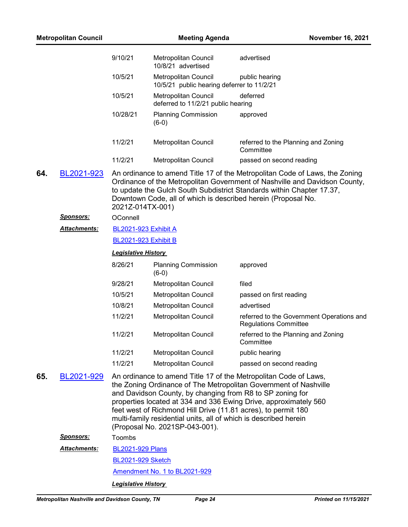| <b>Metropolitan Council</b> |                     | <b>Meeting Agenda</b>      |                                                                                                                                                                                                                                  | <b>November 16, 2021</b>                                                                                                                                                                                                           |  |  |
|-----------------------------|---------------------|----------------------------|----------------------------------------------------------------------------------------------------------------------------------------------------------------------------------------------------------------------------------|------------------------------------------------------------------------------------------------------------------------------------------------------------------------------------------------------------------------------------|--|--|
|                             |                     | 9/10/21                    | Metropolitan Council<br>10/8/21 advertised                                                                                                                                                                                       | advertised                                                                                                                                                                                                                         |  |  |
|                             |                     | 10/5/21                    | <b>Metropolitan Council</b><br>10/5/21 public hearing deferrer to 11/2/21                                                                                                                                                        | public hearing                                                                                                                                                                                                                     |  |  |
|                             |                     | 10/5/21                    | Metropolitan Council<br>deferred to 11/2/21 public hearing                                                                                                                                                                       | deferred                                                                                                                                                                                                                           |  |  |
|                             |                     | 10/28/21                   | <b>Planning Commission</b><br>$(6-0)$                                                                                                                                                                                            | approved                                                                                                                                                                                                                           |  |  |
|                             |                     | 11/2/21                    | Metropolitan Council                                                                                                                                                                                                             | referred to the Planning and Zoning<br>Committee                                                                                                                                                                                   |  |  |
|                             |                     | 11/2/21                    | <b>Metropolitan Council</b>                                                                                                                                                                                                      | passed on second reading                                                                                                                                                                                                           |  |  |
| 64.                         | BL2021-923          | 2021Z-014TX-001)           | Downtown Code, all of which is described herein (Proposal No.                                                                                                                                                                    | An ordinance to amend Title 17 of the Metropolitan Code of Laws, the Zoning<br>Ordinance of the Metropolitan Government of Nashville and Davidson County,<br>to update the Gulch South Subdistrict Standards within Chapter 17.37, |  |  |
|                             | <b>Sponsors:</b>    | OConnell                   |                                                                                                                                                                                                                                  |                                                                                                                                                                                                                                    |  |  |
|                             | <b>Attachments:</b> |                            | <b>BL2021-923 Exhibit A</b>                                                                                                                                                                                                      |                                                                                                                                                                                                                                    |  |  |
|                             |                     |                            | <b>BL2021-923 Exhibit B</b>                                                                                                                                                                                                      |                                                                                                                                                                                                                                    |  |  |
|                             |                     | <b>Legislative History</b> |                                                                                                                                                                                                                                  |                                                                                                                                                                                                                                    |  |  |
|                             |                     | 8/26/21                    | <b>Planning Commission</b><br>$(6-0)$                                                                                                                                                                                            | approved                                                                                                                                                                                                                           |  |  |
|                             |                     | 9/28/21                    | Metropolitan Council                                                                                                                                                                                                             | filed                                                                                                                                                                                                                              |  |  |
|                             |                     | 10/5/21                    | Metropolitan Council                                                                                                                                                                                                             | passed on first reading                                                                                                                                                                                                            |  |  |
|                             |                     | 10/8/21                    | Metropolitan Council                                                                                                                                                                                                             | advertised                                                                                                                                                                                                                         |  |  |
|                             |                     | 11/2/21                    | Metropolitan Council                                                                                                                                                                                                             | referred to the Government Operations and<br><b>Regulations Committee</b>                                                                                                                                                          |  |  |
|                             |                     | 11/2/21                    | Metropolitan Council                                                                                                                                                                                                             | referred to the Planning and Zoning<br>Committee                                                                                                                                                                                   |  |  |
|                             |                     | 11/2/21                    | Metropolitan Council                                                                                                                                                                                                             | public hearing                                                                                                                                                                                                                     |  |  |
|                             |                     | 11/2/21                    | Metropolitan Council                                                                                                                                                                                                             | passed on second reading                                                                                                                                                                                                           |  |  |
| 65.                         | BL2021-929          |                            | and Davidson County, by changing from R8 to SP zoning for<br>feet west of Richmond Hill Drive (11.81 acres), to permit 180<br>multi-family residential units, all of which is described herein<br>(Proposal No. 2021SP-043-001). | An ordinance to amend Title 17 of the Metropolitan Code of Laws,<br>the Zoning Ordinance of The Metropolitan Government of Nashville<br>properties located at 334 and 336 Ewing Drive, approximately 560                           |  |  |
|                             | <u>Sponsors:</u>    | Toombs                     |                                                                                                                                                                                                                                  |                                                                                                                                                                                                                                    |  |  |
|                             | <b>Attachments:</b> | <b>BL2021-929 Plans</b>    |                                                                                                                                                                                                                                  |                                                                                                                                                                                                                                    |  |  |
|                             |                     | <b>BL2021-929 Sketch</b>   |                                                                                                                                                                                                                                  |                                                                                                                                                                                                                                    |  |  |
|                             |                     |                            | Amendment No. 1 to BL2021-929                                                                                                                                                                                                    |                                                                                                                                                                                                                                    |  |  |
|                             |                     | <b>Legislative History</b> |                                                                                                                                                                                                                                  |                                                                                                                                                                                                                                    |  |  |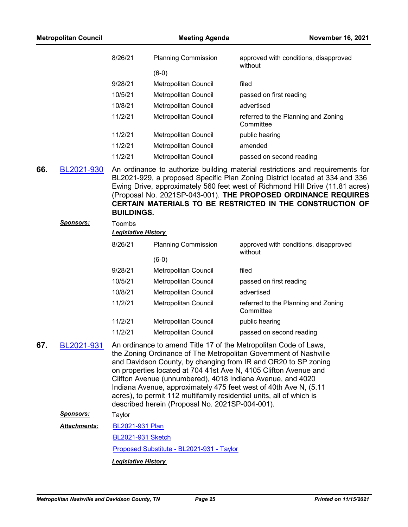| <b>Metropolitan Council</b> |                     |                                      | <b>Meeting Agenda</b>                                                                                                                                                                 | <b>November 16, 2021</b>                                                                                                                                                                                                                                                                                                                                                     |
|-----------------------------|---------------------|--------------------------------------|---------------------------------------------------------------------------------------------------------------------------------------------------------------------------------------|------------------------------------------------------------------------------------------------------------------------------------------------------------------------------------------------------------------------------------------------------------------------------------------------------------------------------------------------------------------------------|
|                             |                     | 8/26/21                              | <b>Planning Commission</b>                                                                                                                                                            | approved with conditions, disapproved<br>without                                                                                                                                                                                                                                                                                                                             |
|                             |                     |                                      | $(6-0)$                                                                                                                                                                               |                                                                                                                                                                                                                                                                                                                                                                              |
|                             |                     | 9/28/21                              | Metropolitan Council                                                                                                                                                                  | filed                                                                                                                                                                                                                                                                                                                                                                        |
|                             |                     | 10/5/21                              | Metropolitan Council                                                                                                                                                                  | passed on first reading                                                                                                                                                                                                                                                                                                                                                      |
|                             |                     | 10/8/21                              | Metropolitan Council                                                                                                                                                                  | advertised                                                                                                                                                                                                                                                                                                                                                                   |
|                             |                     | 11/2/21                              | Metropolitan Council                                                                                                                                                                  | referred to the Planning and Zoning<br>Committee                                                                                                                                                                                                                                                                                                                             |
|                             |                     | 11/2/21                              | Metropolitan Council                                                                                                                                                                  | public hearing                                                                                                                                                                                                                                                                                                                                                               |
|                             |                     | 11/2/21                              | Metropolitan Council                                                                                                                                                                  | amended                                                                                                                                                                                                                                                                                                                                                                      |
|                             |                     | 11/2/21                              | Metropolitan Council                                                                                                                                                                  | passed on second reading                                                                                                                                                                                                                                                                                                                                                     |
| 66.                         | BL2021-930          | <b>BUILDINGS.</b>                    |                                                                                                                                                                                       | An ordinance to authorize building material restrictions and requirements for<br>BL2021-929, a proposed Specific Plan Zoning District located at 334 and 336<br>Ewing Drive, approximately 560 feet west of Richmond Hill Drive (11.81 acres)<br>(Proposal No. 2021SP-043-001). THE PROPOSED ORDINANCE REQUIRES<br>CERTAIN MATERIALS TO BE RESTRICTED IN THE CONSTRUCTION OF |
|                             | <u>Sponsors:</u>    | Toombs<br><b>Legislative History</b> |                                                                                                                                                                                       |                                                                                                                                                                                                                                                                                                                                                                              |
|                             |                     | 8/26/21                              | <b>Planning Commission</b>                                                                                                                                                            | approved with conditions, disapproved<br>without                                                                                                                                                                                                                                                                                                                             |
|                             |                     |                                      | $(6-0)$                                                                                                                                                                               |                                                                                                                                                                                                                                                                                                                                                                              |
|                             |                     | 9/28/21                              | Metropolitan Council                                                                                                                                                                  | filed                                                                                                                                                                                                                                                                                                                                                                        |
|                             |                     | 10/5/21                              | Metropolitan Council                                                                                                                                                                  | passed on first reading                                                                                                                                                                                                                                                                                                                                                      |
|                             |                     | 10/8/21                              | Metropolitan Council                                                                                                                                                                  | advertised                                                                                                                                                                                                                                                                                                                                                                   |
|                             |                     | 11/2/21                              | Metropolitan Council                                                                                                                                                                  | referred to the Planning and Zoning<br>Committee                                                                                                                                                                                                                                                                                                                             |
|                             |                     | 11/2/21                              | Metropolitan Council                                                                                                                                                                  | public hearing                                                                                                                                                                                                                                                                                                                                                               |
|                             |                     | 11/2/21                              | Metropolitan Council                                                                                                                                                                  | passed on second reading                                                                                                                                                                                                                                                                                                                                                     |
| 67.                         | BL2021-931          |                                      | Clifton Avenue (unnumbered), 4018 Indiana Avenue, and 4020<br>acres), to permit 112 multifamily residential units, all of which is<br>described herein (Proposal No. 2021SP-004-001). | An ordinance to amend Title 17 of the Metropolitan Code of Laws,<br>the Zoning Ordinance of The Metropolitan Government of Nashville<br>and Davidson County, by changing from IR and OR20 to SP zoning<br>on properties located at 704 41st Ave N, 4105 Clifton Avenue and<br>Indiana Avenue, approximately 475 feet west of 40th Ave N, (5.11)                              |
|                             | <u>Sponsors:</u>    | Taylor                               |                                                                                                                                                                                       |                                                                                                                                                                                                                                                                                                                                                                              |
|                             | <b>Attachments:</b> | BL2021-931 Plan                      |                                                                                                                                                                                       |                                                                                                                                                                                                                                                                                                                                                                              |
|                             |                     | <b>BL2021-931 Sketch</b>             |                                                                                                                                                                                       |                                                                                                                                                                                                                                                                                                                                                                              |
|                             |                     |                                      | Proposed Substitute - BL2021-931 - Taylor                                                                                                                                             |                                                                                                                                                                                                                                                                                                                                                                              |
|                             |                     | <b>Legislative History</b>           |                                                                                                                                                                                       |                                                                                                                                                                                                                                                                                                                                                                              |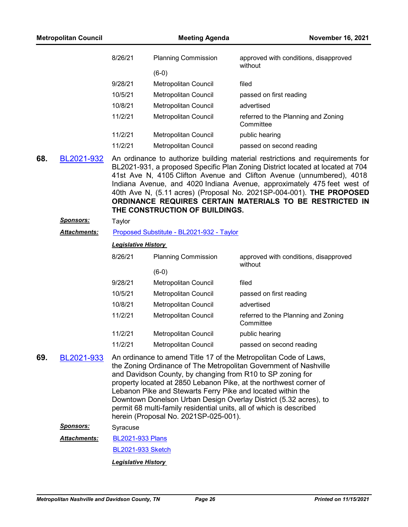| <b>Metropolitan Council</b> |                      |                            | <b>November 16, 2021</b>                                                                                                                                                                                                                  |                                                                                                                                                                                                                                                                                                                                                                                                                                                         |
|-----------------------------|----------------------|----------------------------|-------------------------------------------------------------------------------------------------------------------------------------------------------------------------------------------------------------------------------------------|---------------------------------------------------------------------------------------------------------------------------------------------------------------------------------------------------------------------------------------------------------------------------------------------------------------------------------------------------------------------------------------------------------------------------------------------------------|
|                             |                      | 8/26/21                    | <b>Planning Commission</b>                                                                                                                                                                                                                | approved with conditions, disapproved<br>without                                                                                                                                                                                                                                                                                                                                                                                                        |
|                             |                      |                            | $(6-0)$                                                                                                                                                                                                                                   |                                                                                                                                                                                                                                                                                                                                                                                                                                                         |
|                             |                      | 9/28/21                    | Metropolitan Council                                                                                                                                                                                                                      | filed                                                                                                                                                                                                                                                                                                                                                                                                                                                   |
|                             |                      | 10/5/21                    | Metropolitan Council                                                                                                                                                                                                                      | passed on first reading                                                                                                                                                                                                                                                                                                                                                                                                                                 |
|                             |                      | 10/8/21                    | Metropolitan Council                                                                                                                                                                                                                      | advertised                                                                                                                                                                                                                                                                                                                                                                                                                                              |
|                             |                      | 11/2/21                    | Metropolitan Council                                                                                                                                                                                                                      | referred to the Planning and Zoning<br>Committee                                                                                                                                                                                                                                                                                                                                                                                                        |
|                             |                      | 11/2/21                    | Metropolitan Council                                                                                                                                                                                                                      | public hearing                                                                                                                                                                                                                                                                                                                                                                                                                                          |
|                             |                      | 11/2/21                    | Metropolitan Council                                                                                                                                                                                                                      | passed on second reading                                                                                                                                                                                                                                                                                                                                                                                                                                |
| 68.                         | BL2021-932           |                            | THE CONSTRUCTION OF BUILDINGS.                                                                                                                                                                                                            | An ordinance to authorize building material restrictions and requirements for<br>BL2021-931, a proposed Specific Plan Zoning District located at located at 704<br>41st Ave N, 4105 Clifton Avenue and Clifton Avenue (unnumbered), 4018<br>Indiana Avenue, and 4020 Indiana Avenue, approximately 475 feet west of<br>40th Ave N, (5.11 acres) (Proposal No. 2021SP-004-001). THE PROPOSED<br>ORDINANCE REQUIRES CERTAIN MATERIALS TO BE RESTRICTED IN |
|                             | <u>Sponsors:</u>     | Taylor                     |                                                                                                                                                                                                                                           |                                                                                                                                                                                                                                                                                                                                                                                                                                                         |
|                             | <u> Attachments:</u> |                            | Proposed Substitute - BL2021-932 - Taylor                                                                                                                                                                                                 |                                                                                                                                                                                                                                                                                                                                                                                                                                                         |
|                             |                      | <b>Legislative History</b> |                                                                                                                                                                                                                                           |                                                                                                                                                                                                                                                                                                                                                                                                                                                         |
|                             |                      | 8/26/21                    | <b>Planning Commission</b>                                                                                                                                                                                                                | approved with conditions, disapproved<br>without                                                                                                                                                                                                                                                                                                                                                                                                        |
|                             |                      |                            | $(6-0)$                                                                                                                                                                                                                                   |                                                                                                                                                                                                                                                                                                                                                                                                                                                         |
|                             |                      | 9/28/21                    | Metropolitan Council                                                                                                                                                                                                                      | filed                                                                                                                                                                                                                                                                                                                                                                                                                                                   |
|                             |                      | 10/5/21                    | Metropolitan Council                                                                                                                                                                                                                      | passed on first reading                                                                                                                                                                                                                                                                                                                                                                                                                                 |
|                             |                      | 10/8/21                    | Metropolitan Council                                                                                                                                                                                                                      | advertised                                                                                                                                                                                                                                                                                                                                                                                                                                              |
|                             |                      | 11/2/21                    | Metropolitan Council                                                                                                                                                                                                                      | referred to the Planning and Zoning<br>Committee                                                                                                                                                                                                                                                                                                                                                                                                        |
|                             |                      | 11/2/21                    | Metropolitan Council                                                                                                                                                                                                                      | public hearing                                                                                                                                                                                                                                                                                                                                                                                                                                          |
|                             |                      | 11/2/21                    | <b>Metropolitan Council</b>                                                                                                                                                                                                               | passed on second reading                                                                                                                                                                                                                                                                                                                                                                                                                                |
| 69.                         | BL2021-933           |                            | and Davidson County, by changing from R10 to SP zoning for<br>Lebanon Pike and Stewarts Ferry Pike and located within the<br>permit 68 multi-family residential units, all of which is described<br>herein (Proposal No. 2021SP-025-001). | An ordinance to amend Title 17 of the Metropolitan Code of Laws,<br>the Zoning Ordinance of The Metropolitan Government of Nashville<br>property located at 2850 Lebanon Pike, at the northwest corner of<br>Downtown Donelson Urban Design Overlay District (5.32 acres), to                                                                                                                                                                           |
|                             | <u>Sponsors:</u>     | Syracuse                   |                                                                                                                                                                                                                                           |                                                                                                                                                                                                                                                                                                                                                                                                                                                         |
|                             | Attachments:         | <b>BL2021-933 Plans</b>    |                                                                                                                                                                                                                                           |                                                                                                                                                                                                                                                                                                                                                                                                                                                         |
|                             |                      | <b>BL2021-933 Sketch</b>   |                                                                                                                                                                                                                                           |                                                                                                                                                                                                                                                                                                                                                                                                                                                         |
|                             |                      | <b>Legislative History</b> |                                                                                                                                                                                                                                           |                                                                                                                                                                                                                                                                                                                                                                                                                                                         |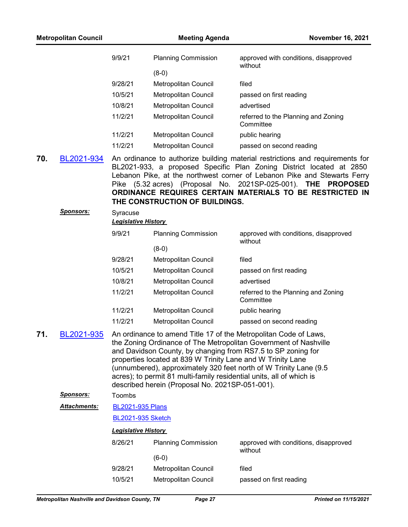|     |                     | 9/9/21                     | <b>Planning Commission</b>                                                                                                                                                                                                                             | approved with conditions, disapproved<br>without                                                                                                                                                                                                                                                                                                                         |
|-----|---------------------|----------------------------|--------------------------------------------------------------------------------------------------------------------------------------------------------------------------------------------------------------------------------------------------------|--------------------------------------------------------------------------------------------------------------------------------------------------------------------------------------------------------------------------------------------------------------------------------------------------------------------------------------------------------------------------|
|     |                     |                            | $(8-0)$                                                                                                                                                                                                                                                |                                                                                                                                                                                                                                                                                                                                                                          |
|     |                     | 9/28/21                    | Metropolitan Council                                                                                                                                                                                                                                   | filed                                                                                                                                                                                                                                                                                                                                                                    |
|     |                     | 10/5/21                    | Metropolitan Council                                                                                                                                                                                                                                   | passed on first reading                                                                                                                                                                                                                                                                                                                                                  |
|     |                     | 10/8/21                    | Metropolitan Council                                                                                                                                                                                                                                   | advertised                                                                                                                                                                                                                                                                                                                                                               |
|     |                     | 11/2/21                    | Metropolitan Council                                                                                                                                                                                                                                   | referred to the Planning and Zoning<br>Committee                                                                                                                                                                                                                                                                                                                         |
|     |                     | 11/2/21                    | Metropolitan Council                                                                                                                                                                                                                                   | public hearing                                                                                                                                                                                                                                                                                                                                                           |
|     |                     | 11/2/21                    | Metropolitan Council                                                                                                                                                                                                                                   | passed on second reading                                                                                                                                                                                                                                                                                                                                                 |
| 70. | BL2021-934          |                            | THE CONSTRUCTION OF BUILDINGS.                                                                                                                                                                                                                         | An ordinance to authorize building material restrictions and requirements for<br>BL2021-933, a proposed Specific Plan Zoning District located at 2850<br>Lebanon Pike, at the northwest corner of Lebanon Pike and Stewarts Ferry<br>Pike (5.32 acres) (Proposal No. 2021SP-025-001). THE<br><b>PROPOSED</b><br>ORDINANCE REQUIRES CERTAIN MATERIALS TO BE RESTRICTED IN |
|     | <u>Sponsors:</u>    | Syracuse                   |                                                                                                                                                                                                                                                        |                                                                                                                                                                                                                                                                                                                                                                          |
|     |                     | <b>Legislative History</b> |                                                                                                                                                                                                                                                        |                                                                                                                                                                                                                                                                                                                                                                          |
|     |                     | 9/9/21                     | <b>Planning Commission</b>                                                                                                                                                                                                                             | approved with conditions, disapproved<br>without                                                                                                                                                                                                                                                                                                                         |
|     |                     |                            | $(8-0)$                                                                                                                                                                                                                                                |                                                                                                                                                                                                                                                                                                                                                                          |
|     |                     | 9/28/21                    | Metropolitan Council                                                                                                                                                                                                                                   | filed                                                                                                                                                                                                                                                                                                                                                                    |
|     |                     | 10/5/21                    | Metropolitan Council                                                                                                                                                                                                                                   | passed on first reading                                                                                                                                                                                                                                                                                                                                                  |
|     |                     | 10/8/21                    | Metropolitan Council                                                                                                                                                                                                                                   | advertised                                                                                                                                                                                                                                                                                                                                                               |
|     |                     | 11/2/21                    | Metropolitan Council                                                                                                                                                                                                                                   | referred to the Planning and Zoning<br>Committee                                                                                                                                                                                                                                                                                                                         |
|     |                     | 11/2/21                    | Metropolitan Council                                                                                                                                                                                                                                   | public hearing                                                                                                                                                                                                                                                                                                                                                           |
|     |                     | 11/2/21                    | Metropolitan Council                                                                                                                                                                                                                                   | passed on second reading                                                                                                                                                                                                                                                                                                                                                 |
| 71. | BL2021-935          |                            | and Davidson County, by changing from RS7.5 to SP zoning for<br>properties located at 839 W Trinity Lane and W Trinity Lane<br>acres); to permit 81 multi-family residential units, all of which is<br>described herein (Proposal No. 2021SP-051-001). | An ordinance to amend Title 17 of the Metropolitan Code of Laws,<br>the Zoning Ordinance of The Metropolitan Government of Nashville<br>(unnumbered), approximately 320 feet north of W Trinity Lane (9.5                                                                                                                                                                |
|     | <b>Sponsors:</b>    | Toombs                     |                                                                                                                                                                                                                                                        |                                                                                                                                                                                                                                                                                                                                                                          |
|     | <b>Attachments:</b> | <b>BL2021-935 Plans</b>    |                                                                                                                                                                                                                                                        |                                                                                                                                                                                                                                                                                                                                                                          |
|     |                     | <b>BL2021-935 Sketch</b>   |                                                                                                                                                                                                                                                        |                                                                                                                                                                                                                                                                                                                                                                          |
|     |                     | <b>Legislative History</b> |                                                                                                                                                                                                                                                        |                                                                                                                                                                                                                                                                                                                                                                          |
|     |                     | 8/26/21                    | <b>Planning Commission</b>                                                                                                                                                                                                                             | approved with conditions, disapproved<br>without                                                                                                                                                                                                                                                                                                                         |
|     |                     |                            | $(6-0)$                                                                                                                                                                                                                                                |                                                                                                                                                                                                                                                                                                                                                                          |
|     |                     | 9/28/21                    | Metropolitan Council                                                                                                                                                                                                                                   | filed                                                                                                                                                                                                                                                                                                                                                                    |
|     |                     | 10/5/21                    | Metropolitan Council                                                                                                                                                                                                                                   | passed on first reading                                                                                                                                                                                                                                                                                                                                                  |

**Metropolitan Council Meeting Agenda November 16, 2021**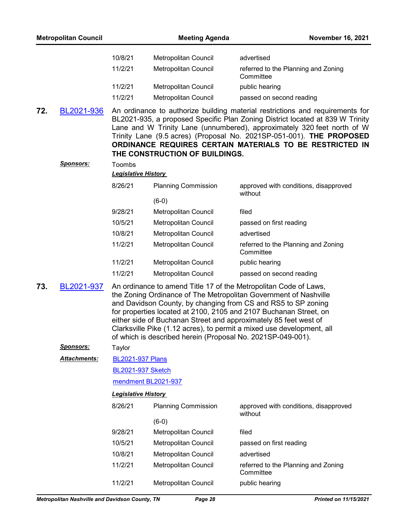|     | <b>Metropolitan Council</b> |                            | <b>Meeting Agenda</b>                                       | November 16, 2021                                                                                                                                                                                                                                                                                                                                                                                                       |  |  |
|-----|-----------------------------|----------------------------|-------------------------------------------------------------|-------------------------------------------------------------------------------------------------------------------------------------------------------------------------------------------------------------------------------------------------------------------------------------------------------------------------------------------------------------------------------------------------------------------------|--|--|
|     |                             | 10/8/21                    | Metropolitan Council                                        | advertised                                                                                                                                                                                                                                                                                                                                                                                                              |  |  |
|     |                             | 11/2/21                    | Metropolitan Council                                        | referred to the Planning and Zoning<br>Committee                                                                                                                                                                                                                                                                                                                                                                        |  |  |
|     |                             | 11/2/21                    | Metropolitan Council                                        | public hearing                                                                                                                                                                                                                                                                                                                                                                                                          |  |  |
|     |                             | 11/2/21                    | Metropolitan Council                                        | passed on second reading                                                                                                                                                                                                                                                                                                                                                                                                |  |  |
| 72. | BL2021-936                  |                            | THE CONSTRUCTION OF BUILDINGS.                              | An ordinance to authorize building material restrictions and requirements for<br>BL2021-935, a proposed Specific Plan Zoning District located at 839 W Trinity<br>Lane and W Trinity Lane (unnumbered), approximately 320 feet north of W<br>Trinity Lane (9.5 acres) (Proposal No. 2021SP-051-001). THE PROPOSED<br>ORDINANCE REQUIRES CERTAIN MATERIALS TO BE RESTRICTED IN                                           |  |  |
|     | <b>Sponsors:</b>            | Toombs                     |                                                             |                                                                                                                                                                                                                                                                                                                                                                                                                         |  |  |
|     |                             | <b>Legislative History</b> |                                                             |                                                                                                                                                                                                                                                                                                                                                                                                                         |  |  |
|     |                             | 8/26/21                    | <b>Planning Commission</b>                                  | approved with conditions, disapproved<br>without                                                                                                                                                                                                                                                                                                                                                                        |  |  |
|     |                             |                            | $(6-0)$                                                     |                                                                                                                                                                                                                                                                                                                                                                                                                         |  |  |
|     |                             | 9/28/21                    | Metropolitan Council                                        | filed                                                                                                                                                                                                                                                                                                                                                                                                                   |  |  |
|     |                             | 10/5/21                    | Metropolitan Council                                        | passed on first reading                                                                                                                                                                                                                                                                                                                                                                                                 |  |  |
|     |                             | 10/8/21                    | Metropolitan Council                                        | advertised                                                                                                                                                                                                                                                                                                                                                                                                              |  |  |
|     |                             | 11/2/21                    | Metropolitan Council                                        | referred to the Planning and Zoning<br>Committee                                                                                                                                                                                                                                                                                                                                                                        |  |  |
|     |                             | 11/2/21                    | Metropolitan Council                                        | public hearing                                                                                                                                                                                                                                                                                                                                                                                                          |  |  |
|     |                             | 11/2/21                    | Metropolitan Council                                        | passed on second reading                                                                                                                                                                                                                                                                                                                                                                                                |  |  |
| 73. | BL2021-937                  |                            | of which is described herein (Proposal No. 2021SP-049-001). | An ordinance to amend Title 17 of the Metropolitan Code of Laws,<br>the Zoning Ordinance of The Metropolitan Government of Nashville<br>and Davidson County, by changing from CS and RS5 to SP zoning<br>for properties located at 2100, 2105 and 2107 Buchanan Street, on<br>either side of Buchanan Street and approximately 85 feet west of<br>Clarksville Pike (1.12 acres), to permit a mixed use development, all |  |  |
|     | <u>Sponsors:</u>            | Taylor                     |                                                             |                                                                                                                                                                                                                                                                                                                                                                                                                         |  |  |
|     | Attachments:                | <b>BL2021-937 Plans</b>    |                                                             |                                                                                                                                                                                                                                                                                                                                                                                                                         |  |  |
|     |                             |                            | <b>BL2021-937 Sketch</b>                                    |                                                                                                                                                                                                                                                                                                                                                                                                                         |  |  |
|     |                             | mendment BL2021-937        |                                                             |                                                                                                                                                                                                                                                                                                                                                                                                                         |  |  |
|     |                             | <b>Legislative History</b> |                                                             |                                                                                                                                                                                                                                                                                                                                                                                                                         |  |  |
|     |                             | 8/26/21                    | <b>Planning Commission</b>                                  | approved with conditions, disapproved<br>without                                                                                                                                                                                                                                                                                                                                                                        |  |  |
|     |                             |                            | $(6-0)$                                                     |                                                                                                                                                                                                                                                                                                                                                                                                                         |  |  |
|     |                             | 9/28/21                    | Metropolitan Council                                        | filed                                                                                                                                                                                                                                                                                                                                                                                                                   |  |  |
|     |                             | 10/5/21                    | Metropolitan Council                                        | passed on first reading                                                                                                                                                                                                                                                                                                                                                                                                 |  |  |
|     |                             | 10/8/21                    | Metropolitan Council                                        | advertised                                                                                                                                                                                                                                                                                                                                                                                                              |  |  |
|     |                             | 11/2/21                    | Metropolitan Council                                        | referred to the Planning and Zoning<br>Committee                                                                                                                                                                                                                                                                                                                                                                        |  |  |
|     |                             | 11/2/21                    | Metropolitan Council                                        | public hearing                                                                                                                                                                                                                                                                                                                                                                                                          |  |  |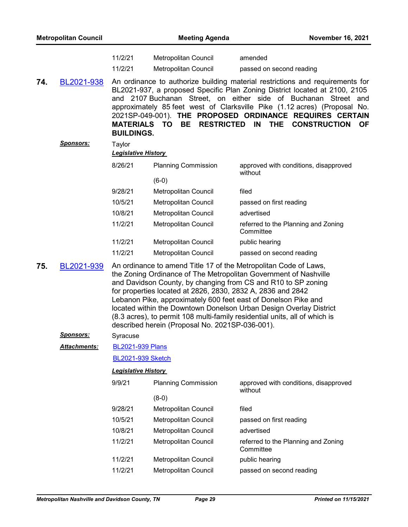| <b>Metropolitan Council</b> |                  |                                       | <b>November 16, 2021</b>                                                                                       |                                                                                                                                                                                                                                                                                                                                                                                                                                 |  |  |
|-----------------------------|------------------|---------------------------------------|----------------------------------------------------------------------------------------------------------------|---------------------------------------------------------------------------------------------------------------------------------------------------------------------------------------------------------------------------------------------------------------------------------------------------------------------------------------------------------------------------------------------------------------------------------|--|--|
|                             |                  | 11/2/21                               | <b>Metropolitan Council</b>                                                                                    | amended                                                                                                                                                                                                                                                                                                                                                                                                                         |  |  |
|                             |                  | 11/2/21                               | Metropolitan Council                                                                                           | passed on second reading                                                                                                                                                                                                                                                                                                                                                                                                        |  |  |
| 74.                         | BL2021-938       | <b>MATERIALS</b><br><b>BUILDINGS.</b> | <b>RESTRICTED</b><br>TO.<br><b>BE</b>                                                                          | An ordinance to authorize building material restrictions and requirements for<br>BL2021-937, a proposed Specific Plan Zoning District located at 2100, 2105<br>and 2107 Buchanan Street, on either side of Buchanan Street and<br>approximately 85 feet west of Clarksville Pike (1.12 acres) (Proposal No.<br>2021SP-049-001). THE PROPOSED ORDINANCE REQUIRES CERTAIN<br>IN<br><b>THE</b><br><b>CONSTRUCTION</b><br><b>OF</b> |  |  |
|                             | <u>Sponsors:</u> | Taylor<br><b>Legislative History</b>  |                                                                                                                |                                                                                                                                                                                                                                                                                                                                                                                                                                 |  |  |
|                             |                  | 8/26/21                               | <b>Planning Commission</b>                                                                                     | approved with conditions, disapproved<br>without                                                                                                                                                                                                                                                                                                                                                                                |  |  |
|                             |                  |                                       | $(6-0)$                                                                                                        |                                                                                                                                                                                                                                                                                                                                                                                                                                 |  |  |
|                             |                  | 9/28/21<br>10/5/21                    | Metropolitan Council<br><b>Metropolitan Council</b>                                                            | filed                                                                                                                                                                                                                                                                                                                                                                                                                           |  |  |
|                             |                  | 10/8/21                               | Metropolitan Council                                                                                           | passed on first reading<br>advertised                                                                                                                                                                                                                                                                                                                                                                                           |  |  |
|                             |                  | 11/2/21                               | <b>Metropolitan Council</b>                                                                                    | referred to the Planning and Zoning<br>Committee                                                                                                                                                                                                                                                                                                                                                                                |  |  |
|                             |                  | 11/2/21                               | Metropolitan Council                                                                                           | public hearing                                                                                                                                                                                                                                                                                                                                                                                                                  |  |  |
|                             |                  | 11/2/21                               | Metropolitan Council                                                                                           | passed on second reading                                                                                                                                                                                                                                                                                                                                                                                                        |  |  |
| 75.                         | BL2021-939       |                                       | for properties located at 2826, 2830, 2832 A, 2836 and 2842<br>described herein (Proposal No. 2021SP-036-001). | An ordinance to amend Title 17 of the Metropolitan Code of Laws,<br>the Zoning Ordinance of The Metropolitan Government of Nashville<br>and Davidson County, by changing from CS and R10 to SP zoning<br>Lebanon Pike, approximately 600 feet east of Donelson Pike and<br>located within the Downtown Donelson Urban Design Overlay District<br>(8.3 acres), to permit 108 multi-family residential units, all of which is     |  |  |
|                             | <b>Sponsors:</b> | Syracuse                              |                                                                                                                |                                                                                                                                                                                                                                                                                                                                                                                                                                 |  |  |
|                             | Attachments:     | <b>BL2021-939 Plans</b>               |                                                                                                                |                                                                                                                                                                                                                                                                                                                                                                                                                                 |  |  |
|                             |                  | <b>BL2021-939 Sketch</b>              |                                                                                                                |                                                                                                                                                                                                                                                                                                                                                                                                                                 |  |  |
|                             |                  | <b>Legislative History</b>            |                                                                                                                |                                                                                                                                                                                                                                                                                                                                                                                                                                 |  |  |
|                             |                  | 9/9/21                                | <b>Planning Commission</b>                                                                                     | approved with conditions, disapproved<br>without                                                                                                                                                                                                                                                                                                                                                                                |  |  |
|                             |                  |                                       | $(8-0)$                                                                                                        |                                                                                                                                                                                                                                                                                                                                                                                                                                 |  |  |
|                             |                  | 9/28/21                               | Metropolitan Council                                                                                           | filed                                                                                                                                                                                                                                                                                                                                                                                                                           |  |  |
|                             |                  | 10/5/21                               | Metropolitan Council                                                                                           | passed on first reading                                                                                                                                                                                                                                                                                                                                                                                                         |  |  |
|                             |                  | 10/8/21                               | Metropolitan Council                                                                                           | advertised                                                                                                                                                                                                                                                                                                                                                                                                                      |  |  |
|                             |                  | 11/2/21                               | Metropolitan Council                                                                                           | referred to the Planning and Zoning<br>Committee                                                                                                                                                                                                                                                                                                                                                                                |  |  |
|                             |                  | 11/2/21                               | Metropolitan Council                                                                                           | public hearing                                                                                                                                                                                                                                                                                                                                                                                                                  |  |  |
|                             |                  | 11/2/21                               | Metropolitan Council                                                                                           | passed on second reading                                                                                                                                                                                                                                                                                                                                                                                                        |  |  |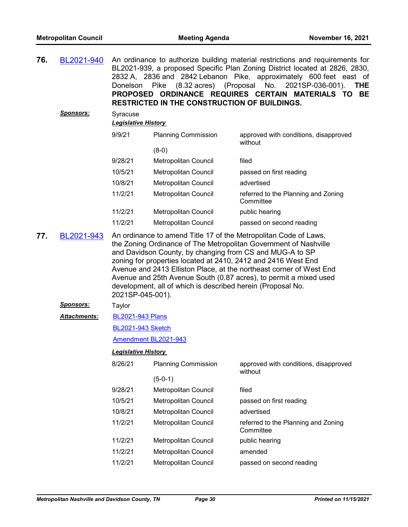| 76. | BL2021-940          | Donelson                                                                                                                                                                                                                                                                                                                                                                                                                                                                                         | (8.32 acres) (Proposal<br>Pike<br><b>RESTRICTED IN THE CONSTRUCTION OF BUILDINGS.</b> | An ordinance to authorize building material restrictions and requirements for<br>BL2021-939, a proposed Specific Plan Zoning District located at 2826, 2830,<br>2832 A, 2836 and 2842 Lebanon Pike, approximately 600 feet east of<br>No.<br>2021SP-036-001).<br><b>THE</b><br>PROPOSED ORDINANCE REQUIRES CERTAIN MATERIALS TO BE |  |  |
|-----|---------------------|--------------------------------------------------------------------------------------------------------------------------------------------------------------------------------------------------------------------------------------------------------------------------------------------------------------------------------------------------------------------------------------------------------------------------------------------------------------------------------------------------|---------------------------------------------------------------------------------------|------------------------------------------------------------------------------------------------------------------------------------------------------------------------------------------------------------------------------------------------------------------------------------------------------------------------------------|--|--|
|     | <u>Sponsors:</u>    | Syracuse<br><b>Legislative History</b>                                                                                                                                                                                                                                                                                                                                                                                                                                                           |                                                                                       |                                                                                                                                                                                                                                                                                                                                    |  |  |
|     |                     | 9/9/21                                                                                                                                                                                                                                                                                                                                                                                                                                                                                           | <b>Planning Commission</b>                                                            | approved with conditions, disapproved<br>without                                                                                                                                                                                                                                                                                   |  |  |
|     |                     |                                                                                                                                                                                                                                                                                                                                                                                                                                                                                                  | $(8-0)$                                                                               |                                                                                                                                                                                                                                                                                                                                    |  |  |
|     |                     | 9/28/21                                                                                                                                                                                                                                                                                                                                                                                                                                                                                          | Metropolitan Council                                                                  | filed                                                                                                                                                                                                                                                                                                                              |  |  |
|     |                     | 10/5/21                                                                                                                                                                                                                                                                                                                                                                                                                                                                                          | Metropolitan Council                                                                  | passed on first reading                                                                                                                                                                                                                                                                                                            |  |  |
|     |                     | 10/8/21                                                                                                                                                                                                                                                                                                                                                                                                                                                                                          | Metropolitan Council                                                                  | advertised                                                                                                                                                                                                                                                                                                                         |  |  |
|     |                     | 11/2/21                                                                                                                                                                                                                                                                                                                                                                                                                                                                                          | Metropolitan Council                                                                  | referred to the Planning and Zoning<br>Committee                                                                                                                                                                                                                                                                                   |  |  |
|     |                     | 11/2/21                                                                                                                                                                                                                                                                                                                                                                                                                                                                                          | Metropolitan Council                                                                  | public hearing                                                                                                                                                                                                                                                                                                                     |  |  |
|     |                     | 11/2/21                                                                                                                                                                                                                                                                                                                                                                                                                                                                                          | <b>Metropolitan Council</b>                                                           | passed on second reading                                                                                                                                                                                                                                                                                                           |  |  |
| 77. | BL2021-943          | An ordinance to amend Title 17 of the Metropolitan Code of Laws,<br>the Zoning Ordinance of The Metropolitan Government of Nashville<br>and Davidson County, by changing from CS and MUG-A to SP<br>zoning for properties located at 2410, 2412 and 2416 West End<br>Avenue and 2413 Elliston Place, at the northeast corner of West End<br>Avenue and 25th Avenue South (0.87 acres), to permit a mixed used<br>development, all of which is described herein (Proposal No.<br>2021SP-045-001). |                                                                                       |                                                                                                                                                                                                                                                                                                                                    |  |  |
|     | <u>Sponsors:</u>    | Taylor                                                                                                                                                                                                                                                                                                                                                                                                                                                                                           |                                                                                       |                                                                                                                                                                                                                                                                                                                                    |  |  |
|     | <b>Attachments:</b> | <b>BL2021-943 Plans</b>                                                                                                                                                                                                                                                                                                                                                                                                                                                                          |                                                                                       |                                                                                                                                                                                                                                                                                                                                    |  |  |
|     |                     | <b>BL2021-943 Sketch</b>                                                                                                                                                                                                                                                                                                                                                                                                                                                                         |                                                                                       |                                                                                                                                                                                                                                                                                                                                    |  |  |
|     |                     |                                                                                                                                                                                                                                                                                                                                                                                                                                                                                                  | Amendment BL2021-943                                                                  |                                                                                                                                                                                                                                                                                                                                    |  |  |
|     |                     | <b>Legislative History</b>                                                                                                                                                                                                                                                                                                                                                                                                                                                                       |                                                                                       |                                                                                                                                                                                                                                                                                                                                    |  |  |
|     |                     | 8/26/21                                                                                                                                                                                                                                                                                                                                                                                                                                                                                          | <b>Planning Commission</b>                                                            | approved with conditions, disapproved<br>without                                                                                                                                                                                                                                                                                   |  |  |
|     |                     |                                                                                                                                                                                                                                                                                                                                                                                                                                                                                                  | $(5-0-1)$                                                                             |                                                                                                                                                                                                                                                                                                                                    |  |  |
|     |                     | 9/28/21                                                                                                                                                                                                                                                                                                                                                                                                                                                                                          | Metropolitan Council                                                                  | filed                                                                                                                                                                                                                                                                                                                              |  |  |
|     |                     | 10/5/21                                                                                                                                                                                                                                                                                                                                                                                                                                                                                          | Metropolitan Council                                                                  | passed on first reading                                                                                                                                                                                                                                                                                                            |  |  |
|     |                     | 10/8/21                                                                                                                                                                                                                                                                                                                                                                                                                                                                                          | Metropolitan Council                                                                  | advertised                                                                                                                                                                                                                                                                                                                         |  |  |
|     |                     | 11/2/21                                                                                                                                                                                                                                                                                                                                                                                                                                                                                          | Metropolitan Council                                                                  | referred to the Planning and Zoning<br>Committee                                                                                                                                                                                                                                                                                   |  |  |
|     |                     | 11/2/21                                                                                                                                                                                                                                                                                                                                                                                                                                                                                          | Metropolitan Council                                                                  | public hearing                                                                                                                                                                                                                                                                                                                     |  |  |
|     |                     | 11/2/21                                                                                                                                                                                                                                                                                                                                                                                                                                                                                          | Metropolitan Council                                                                  | amended                                                                                                                                                                                                                                                                                                                            |  |  |
|     |                     | 11/2/21                                                                                                                                                                                                                                                                                                                                                                                                                                                                                          | Metropolitan Council                                                                  | passed on second reading                                                                                                                                                                                                                                                                                                           |  |  |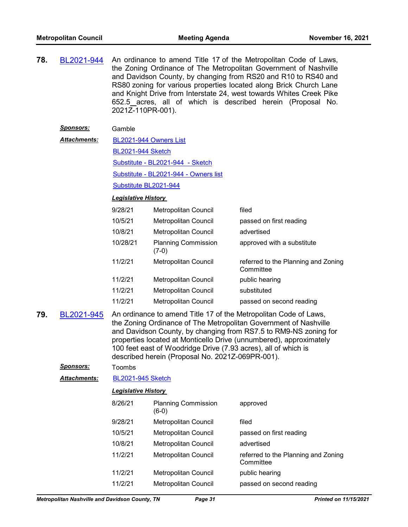**78.** [BL2021-944](http://nashville.legistar.com/gateway.aspx?m=l&id=/matter.aspx?key=13643) An ordinance to amend Title 17 of the Metropolitan Code of Laws, the Zoning Ordinance of The Metropolitan Government of Nashville and Davidson County, by changing from RS20 and R10 to RS40 and RS80 zoning for various properties located along Brick Church Lane and Knight Drive from Interstate 24, west towards Whites Creek Pike 652.5 acres, all of which is described herein (Proposal No. 2021Z-110PR-001).

## *Sponsors:* Gamble

[BL2021-944 Owners List](http://nashville.legistar.com/gateway.aspx?M=F&ID=326b9d14-836e-4065-a91e-d9499b4c8c53.xlsx) *Attachments:*

[BL2021-944 Sketch](http://nashville.legistar.com/gateway.aspx?M=F&ID=85279e80-e412-4afd-b9af-44172be29ec3.docx)

[Substitute - BL2021-944 - Sketch](http://nashville.legistar.com/gateway.aspx?M=F&ID=876fe0eb-2a22-4f4a-bb1f-0e511d4718f2.docx)

[Substitute - BL2021-944 - Owners list](http://nashville.legistar.com/gateway.aspx?M=F&ID=3a64a744-d1f2-4ca9-a198-cd81ba39817a.xlsx)

[Substitute BL2021-944](http://nashville.legistar.com/gateway.aspx?M=F&ID=70170abb-98e7-448f-8d22-b78b78c07e16.docx)

### *Legislative History*

| 9/28/21  | Metropolitan Council                  | filed                                            |
|----------|---------------------------------------|--------------------------------------------------|
| 10/5/21  | Metropolitan Council                  | passed on first reading                          |
| 10/8/21  | Metropolitan Council                  | advertised                                       |
| 10/28/21 | <b>Planning Commission</b><br>$(7-0)$ | approved with a substitute                       |
| 11/2/21  | Metropolitan Council                  | referred to the Planning and Zoning<br>Committee |
| 11/2/21  | Metropolitan Council                  | public hearing                                   |
| 11/2/21  | Metropolitan Council                  | substituted                                      |
| 11/2/21  | Metropolitan Council                  | passed on second reading                         |
|          |                                       |                                                  |

**79.** [BL2021-945](http://nashville.legistar.com/gateway.aspx?m=l&id=/matter.aspx?key=13660) An ordinance to amend Title 17 of the Metropolitan Code of Laws, the Zoning Ordinance of The Metropolitan Government of Nashville and Davidson County, by changing from RS7.5 to RM9-NS zoning for properties located at Monticello Drive (unnumbered), approximately 100 feet east of Woodridge Drive (7.93 acres), all of which is described herein (Proposal No. 2021Z-069PR-001).

## *Sponsors:* Toombs

*Attachments:* [BL2021-945 Sketch](http://nashville.legistar.com/gateway.aspx?M=F&ID=1113f21f-f5eb-45ed-81e8-3563ac6b7887.docx)

| 8/26/21 | <b>Planning Commission</b><br>(6-0) | approved                                         |
|---------|-------------------------------------|--------------------------------------------------|
| 9/28/21 | <b>Metropolitan Council</b>         | filed                                            |
| 10/5/21 | Metropolitan Council                | passed on first reading                          |
| 10/8/21 | Metropolitan Council                | advertised                                       |
| 11/2/21 | Metropolitan Council                | referred to the Planning and Zoning<br>Committee |
| 11/2/21 | Metropolitan Council                | public hearing                                   |
| 11/2/21 | Metropolitan Council                | passed on second reading                         |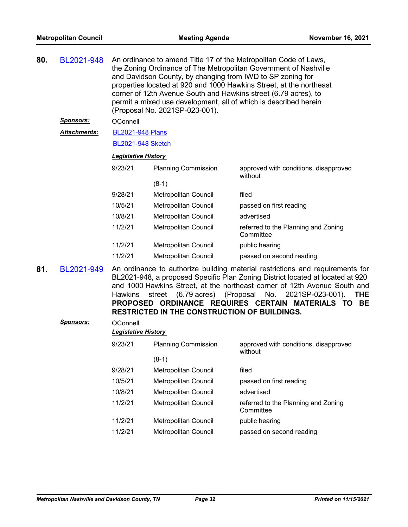| 80. | BL2021-948       |                                                                                                                                                                                                                                                                                                                                                                                                                                                     | An ordinance to amend Title 17 of the Metropolitan Code of Laws,<br>the Zoning Ordinance of The Metropolitan Government of Nashville<br>and Davidson County, by changing from IWD to SP zoning for<br>properties located at 920 and 1000 Hawkins Street, at the northeast<br>corner of 12th Avenue South and Hawkins street (6.79 acres), to<br>permit a mixed use development, all of which is described herein<br>(Proposal No. 2021SP-023-001). |                                                  |  |  |
|-----|------------------|-----------------------------------------------------------------------------------------------------------------------------------------------------------------------------------------------------------------------------------------------------------------------------------------------------------------------------------------------------------------------------------------------------------------------------------------------------|----------------------------------------------------------------------------------------------------------------------------------------------------------------------------------------------------------------------------------------------------------------------------------------------------------------------------------------------------------------------------------------------------------------------------------------------------|--------------------------------------------------|--|--|
|     | <u>Sponsors:</u> | OConnell                                                                                                                                                                                                                                                                                                                                                                                                                                            |                                                                                                                                                                                                                                                                                                                                                                                                                                                    |                                                  |  |  |
|     | Attachments:     | <b>BL2021-948 Plans</b>                                                                                                                                                                                                                                                                                                                                                                                                                             |                                                                                                                                                                                                                                                                                                                                                                                                                                                    |                                                  |  |  |
|     |                  | <b>BL2021-948 Sketch</b>                                                                                                                                                                                                                                                                                                                                                                                                                            |                                                                                                                                                                                                                                                                                                                                                                                                                                                    |                                                  |  |  |
|     |                  | <b>Legislative History</b>                                                                                                                                                                                                                                                                                                                                                                                                                          |                                                                                                                                                                                                                                                                                                                                                                                                                                                    |                                                  |  |  |
|     |                  | 9/23/21                                                                                                                                                                                                                                                                                                                                                                                                                                             | <b>Planning Commission</b>                                                                                                                                                                                                                                                                                                                                                                                                                         | approved with conditions, disapproved<br>without |  |  |
|     |                  |                                                                                                                                                                                                                                                                                                                                                                                                                                                     | $(8-1)$                                                                                                                                                                                                                                                                                                                                                                                                                                            |                                                  |  |  |
|     |                  | 9/28/21                                                                                                                                                                                                                                                                                                                                                                                                                                             | Metropolitan Council                                                                                                                                                                                                                                                                                                                                                                                                                               | filed                                            |  |  |
|     |                  | 10/5/21                                                                                                                                                                                                                                                                                                                                                                                                                                             | <b>Metropolitan Council</b>                                                                                                                                                                                                                                                                                                                                                                                                                        | passed on first reading                          |  |  |
|     |                  | 10/8/21                                                                                                                                                                                                                                                                                                                                                                                                                                             | <b>Metropolitan Council</b>                                                                                                                                                                                                                                                                                                                                                                                                                        | advertised                                       |  |  |
|     |                  | 11/2/21                                                                                                                                                                                                                                                                                                                                                                                                                                             | <b>Metropolitan Council</b>                                                                                                                                                                                                                                                                                                                                                                                                                        | referred to the Planning and Zoning<br>Committee |  |  |
|     |                  | 11/2/21                                                                                                                                                                                                                                                                                                                                                                                                                                             | Metropolitan Council                                                                                                                                                                                                                                                                                                                                                                                                                               | public hearing                                   |  |  |
|     |                  | 11/2/21                                                                                                                                                                                                                                                                                                                                                                                                                                             | Metropolitan Council                                                                                                                                                                                                                                                                                                                                                                                                                               | passed on second reading                         |  |  |
| 81. | BL2021-949       | An ordinance to authorize building material restrictions and requirements for<br>BL2021-948, a proposed Specific Plan Zoning District located at located at 920<br>and 1000 Hawkins Street, at the northeast corner of 12th Avenue South and<br>street (6.79 acres) (Proposal No.<br>2021SP-023-001).<br><b>Hawkins</b><br><b>THE</b><br>PROPOSED ORDINANCE REQUIRES CERTAIN MATERIALS TO BE<br><b>RESTRICTED IN THE CONSTRUCTION OF BUILDINGS.</b> |                                                                                                                                                                                                                                                                                                                                                                                                                                                    |                                                  |  |  |
|     | Sponsors:        | OConnell                                                                                                                                                                                                                                                                                                                                                                                                                                            |                                                                                                                                                                                                                                                                                                                                                                                                                                                    |                                                  |  |  |
|     |                  | <b>Legislative History</b>                                                                                                                                                                                                                                                                                                                                                                                                                          |                                                                                                                                                                                                                                                                                                                                                                                                                                                    |                                                  |  |  |
|     |                  | 9/23/21                                                                                                                                                                                                                                                                                                                                                                                                                                             | <b>Planning Commission</b>                                                                                                                                                                                                                                                                                                                                                                                                                         | approved with conditions, disapproved<br>without |  |  |
|     |                  |                                                                                                                                                                                                                                                                                                                                                                                                                                                     | $(8-1)$                                                                                                                                                                                                                                                                                                                                                                                                                                            |                                                  |  |  |
|     |                  | 9/28/21                                                                                                                                                                                                                                                                                                                                                                                                                                             | Metropolitan Council                                                                                                                                                                                                                                                                                                                                                                                                                               | filed                                            |  |  |
|     |                  | 10/5/21                                                                                                                                                                                                                                                                                                                                                                                                                                             | Metropolitan Council                                                                                                                                                                                                                                                                                                                                                                                                                               | passed on first reading                          |  |  |
|     |                  | 10/8/21                                                                                                                                                                                                                                                                                                                                                                                                                                             | Metropolitan Council                                                                                                                                                                                                                                                                                                                                                                                                                               | advertised                                       |  |  |
|     |                  | 11/2/21                                                                                                                                                                                                                                                                                                                                                                                                                                             | Metropolitan Council                                                                                                                                                                                                                                                                                                                                                                                                                               | referred to the Planning and Zoning<br>Committee |  |  |
|     |                  | 11/2/21                                                                                                                                                                                                                                                                                                                                                                                                                                             | Metropolitan Council                                                                                                                                                                                                                                                                                                                                                                                                                               | public hearing                                   |  |  |
|     |                  | 11/2/21                                                                                                                                                                                                                                                                                                                                                                                                                                             | Metropolitan Council                                                                                                                                                                                                                                                                                                                                                                                                                               | passed on second reading                         |  |  |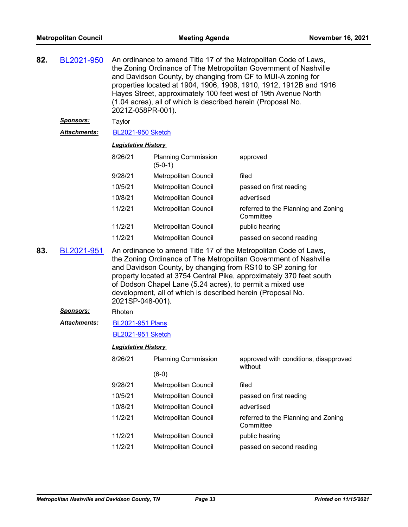| 82. | BL2021-950           | An ordinance to amend Title 17 of the Metropolitan Code of Laws,<br>the Zoning Ordinance of The Metropolitan Government of Nashville<br>and Davidson County, by changing from CF to MUI-A zoning for<br>properties located at 1904, 1906, 1908, 1910, 1912, 1912B and 1916<br>Hayes Street, approximately 100 feet west of 19th Avenue North<br>(1.04 acres), all of which is described herein (Proposal No.<br>2021Z-058PR-001). |                                         |                                                  |  |
|-----|----------------------|-----------------------------------------------------------------------------------------------------------------------------------------------------------------------------------------------------------------------------------------------------------------------------------------------------------------------------------------------------------------------------------------------------------------------------------|-----------------------------------------|--------------------------------------------------|--|
|     | <b>Sponsors:</b>     | Taylor                                                                                                                                                                                                                                                                                                                                                                                                                            |                                         |                                                  |  |
|     | <b>Attachments:</b>  | <b>BL2021-950 Sketch</b>                                                                                                                                                                                                                                                                                                                                                                                                          |                                         |                                                  |  |
|     |                      | <b>Legislative History</b>                                                                                                                                                                                                                                                                                                                                                                                                        |                                         |                                                  |  |
|     |                      | 8/26/21                                                                                                                                                                                                                                                                                                                                                                                                                           | <b>Planning Commission</b><br>$(5-0-1)$ | approved                                         |  |
|     |                      | 9/28/21                                                                                                                                                                                                                                                                                                                                                                                                                           | Metropolitan Council                    | filed                                            |  |
|     |                      | 10/5/21                                                                                                                                                                                                                                                                                                                                                                                                                           | Metropolitan Council                    | passed on first reading                          |  |
|     |                      | 10/8/21                                                                                                                                                                                                                                                                                                                                                                                                                           | Metropolitan Council                    | advertised                                       |  |
|     |                      | 11/2/21                                                                                                                                                                                                                                                                                                                                                                                                                           | Metropolitan Council                    | referred to the Planning and Zoning<br>Committee |  |
|     |                      | 11/2/21                                                                                                                                                                                                                                                                                                                                                                                                                           | Metropolitan Council                    | public hearing                                   |  |
|     |                      | 11/2/21                                                                                                                                                                                                                                                                                                                                                                                                                           | Metropolitan Council                    | passed on second reading                         |  |
| 83. | BL2021-951           | An ordinance to amend Title 17 of the Metropolitan Code of Laws,<br>the Zoning Ordinance of The Metropolitan Government of Nashville<br>and Davidson County, by changing from RS10 to SP zoning for<br>property located at 3754 Central Pike, approximately 370 feet south<br>of Dodson Chapel Lane (5.24 acres), to permit a mixed use<br>development, all of which is described herein (Proposal No.<br>2021SP-048-001).        |                                         |                                                  |  |
|     | <u>Sponsors:</u>     | Rhoten                                                                                                                                                                                                                                                                                                                                                                                                                            |                                         |                                                  |  |
|     | <u> Attachments:</u> | <b>BL2021-951 Plans</b>                                                                                                                                                                                                                                                                                                                                                                                                           |                                         |                                                  |  |
|     |                      | <b>BL2021-951 Sketch</b>                                                                                                                                                                                                                                                                                                                                                                                                          |                                         |                                                  |  |
|     |                      | <u> Legislative History</u>                                                                                                                                                                                                                                                                                                                                                                                                       |                                         |                                                  |  |
|     |                      | 8/26/21                                                                                                                                                                                                                                                                                                                                                                                                                           | <b>Planning Commission</b>              | approved with conditions, disapproved<br>without |  |
|     |                      |                                                                                                                                                                                                                                                                                                                                                                                                                                   | $(6-0)$                                 |                                                  |  |
|     |                      | 9/28/21                                                                                                                                                                                                                                                                                                                                                                                                                           | Metropolitan Council                    | filed                                            |  |
|     |                      | 10/5/21                                                                                                                                                                                                                                                                                                                                                                                                                           | Metropolitan Council                    | passed on first reading                          |  |
|     |                      | 10/8/21                                                                                                                                                                                                                                                                                                                                                                                                                           | Metropolitan Council                    | advertised                                       |  |
|     |                      | 11/2/21                                                                                                                                                                                                                                                                                                                                                                                                                           | <b>Metropolitan Council</b>             | referred to the Planning and Zoning<br>Committee |  |
|     |                      | 11/2/21                                                                                                                                                                                                                                                                                                                                                                                                                           | Metropolitan Council                    | public hearing                                   |  |
|     |                      | 11/2/21                                                                                                                                                                                                                                                                                                                                                                                                                           | Metropolitan Council                    | passed on second reading                         |  |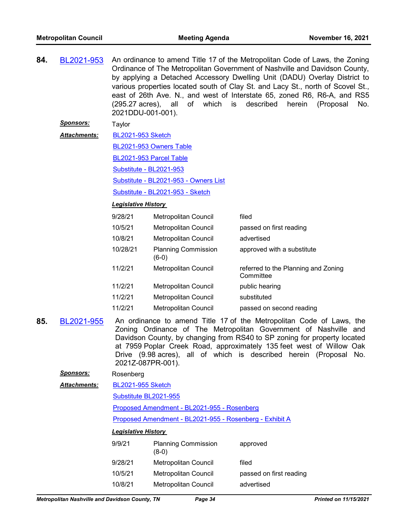| 84. | BL2021-953       | An ordinance to amend Title 17 of the Metropolitan Code of Laws, the Zoning     |
|-----|------------------|---------------------------------------------------------------------------------|
|     |                  | Ordinance of The Metropolitan Government of Nashville and Davidson County,      |
|     |                  | by applying a Detached Accessory Dwelling Unit (DADU) Overlay District to       |
|     |                  | various properties located south of Clay St. and Lacy St., north of Scovel St., |
|     |                  | east of 26th Ave. N., and west of Interstate 65, zoned R6, R6-A, and RS5        |
|     |                  | (295.27 acres), all of which is described herein (Proposal No.                  |
|     |                  | 2021DDU-001-001).                                                               |
|     | <b>Sponsors:</b> | Taylor                                                                          |

[BL2021-953 Sketch](http://nashville.legistar.com/gateway.aspx?M=F&ID=eef93bf5-9f4f-4cb6-a753-390f5f45bef0.docx) [BL2021-953 Owners Table](http://nashville.legistar.com/gateway.aspx?M=F&ID=5287204b-213b-4f8b-9df8-c4b77d5e9c79.xls) [BL2021-953 Parcel Table](http://nashville.legistar.com/gateway.aspx?M=F&ID=e0189688-97bc-45d7-af8d-d5b87bb2849c.pdf) [Substitute - BL2021-953](http://nashville.legistar.com/gateway.aspx?M=F&ID=9510a637-7188-41af-8a3c-19969eafbef5.docx) [Substitute - BL2021-953 - Owners List](http://nashville.legistar.com/gateway.aspx?M=F&ID=1974d987-fa75-4d26-900d-4956b844e610.xlsx) [Substitute - BL2021-953 - Sketch](http://nashville.legistar.com/gateway.aspx?M=F&ID=8a56598d-8eef-4fa5-ac8a-0e01f50e700a.docx) *Attachments:*

#### *Legislative History*

| <b>Metropolitan Council</b>           | filed                                            |
|---------------------------------------|--------------------------------------------------|
| Metropolitan Council                  | passed on first reading                          |
| Metropolitan Council                  | advertised                                       |
| <b>Planning Commission</b><br>$(6-0)$ | approved with a substitute                       |
| Metropolitan Council                  | referred to the Planning and Zoning<br>Committee |
| Metropolitan Council                  | public hearing                                   |
| <b>Metropolitan Council</b>           | substituted                                      |
| Metropolitan Council                  | passed on second reading                         |
|                                       |                                                  |

**85.** [BL2021-955](http://nashville.legistar.com/gateway.aspx?m=l&id=/matter.aspx?key=13642) An ordinance to amend Title 17 of the Metropolitan Code of Laws, the Zoning Ordinance of The Metropolitan Government of Nashville and Davidson County, by changing from RS40 to SP zoning for property located at 7959 Poplar Creek Road, approximately 135 feet west of Willow Oak Drive (9.98 acres), all of which is described herein (Proposal No. 2021Z-087PR-001).

# *Sponsors:* Rosenberg

[BL2021-955 Sketch](http://nashville.legistar.com/gateway.aspx?M=F&ID=d97b40b8-1434-47d9-a698-53fc0699c258.docx) *Attachments:*

[Substitute BL2021-955](http://nashville.legistar.com/gateway.aspx?M=F&ID=f8dc74ce-162b-4681-8ded-c1dca3020041.docx)

[Proposed Amendment - BL2021-955 - Rosenberg](http://nashville.legistar.com/gateway.aspx?M=F&ID=c4efcc24-dc8c-4a60-9b08-19027bdb11f1.docx)

[Proposed Amendment - BL2021-955 - Rosenberg - Exhibit A](http://nashville.legistar.com/gateway.aspx?M=F&ID=b31076f2-39e8-4936-aabc-6e6bb7c60132.pdf)

| 9/9/21  | <b>Planning Commission</b><br>$(8-0)$ | approved                |
|---------|---------------------------------------|-------------------------|
| 9/28/21 | Metropolitan Council                  | filed                   |
| 10/5/21 | <b>Metropolitan Council</b>           | passed on first reading |
| 10/8/21 | Metropolitan Council                  | advertised              |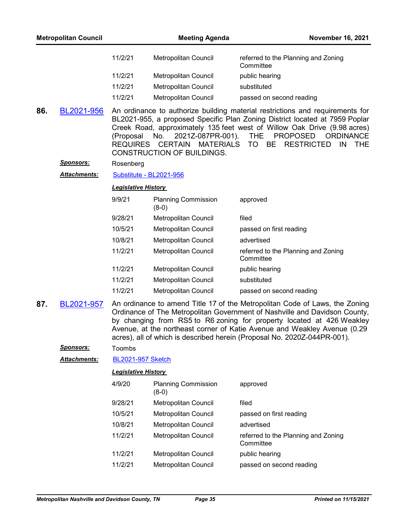|     | <b>Metropolitan Council</b> |                              | <b>Meeting Agenda</b>                                                                        | <b>November 16, 2021</b>                                                                                                                                                                                                                                                                                                                                                                   |
|-----|-----------------------------|------------------------------|----------------------------------------------------------------------------------------------|--------------------------------------------------------------------------------------------------------------------------------------------------------------------------------------------------------------------------------------------------------------------------------------------------------------------------------------------------------------------------------------------|
|     |                             | 11/2/21                      | Metropolitan Council                                                                         | referred to the Planning and Zoning<br>Committee                                                                                                                                                                                                                                                                                                                                           |
|     |                             | 11/2/21                      | Metropolitan Council                                                                         | public hearing                                                                                                                                                                                                                                                                                                                                                                             |
|     |                             | 11/2/21                      | Metropolitan Council                                                                         | substituted                                                                                                                                                                                                                                                                                                                                                                                |
|     |                             | 11/2/21                      | Metropolitan Council                                                                         | passed on second reading                                                                                                                                                                                                                                                                                                                                                                   |
| 86. | BL2021-956                  | (Proposal<br><b>REQUIRES</b> | 2021Z-087PR-001).<br>No.<br><b>CERTAIN</b><br><b>MATERIALS</b><br>CONSTRUCTION OF BUILDINGS. | An ordinance to authorize building material restrictions and requirements for<br>BL2021-955, a proposed Specific Plan Zoning District located at 7959 Poplar<br>Creek Road, approximately 135 feet west of Willow Oak Drive (9.98 acres)<br><b>THE</b><br><b>PROPOSED</b><br><b>ORDINANCE</b><br>TO T<br><b>BE</b><br><b>RESTRICTED</b><br>IN<br><b>THE</b>                                |
|     | <u>Sponsors:</u>            | Rosenberg                    |                                                                                              |                                                                                                                                                                                                                                                                                                                                                                                            |
|     | Attachments:                | Substitute - BL2021-956      |                                                                                              |                                                                                                                                                                                                                                                                                                                                                                                            |
|     |                             | <b>Legislative History</b>   |                                                                                              |                                                                                                                                                                                                                                                                                                                                                                                            |
|     |                             | 9/9/21                       | <b>Planning Commission</b><br>$(8-0)$                                                        | approved                                                                                                                                                                                                                                                                                                                                                                                   |
|     |                             | 9/28/21                      | Metropolitan Council                                                                         | filed                                                                                                                                                                                                                                                                                                                                                                                      |
|     |                             | 10/5/21                      | Metropolitan Council                                                                         | passed on first reading                                                                                                                                                                                                                                                                                                                                                                    |
|     |                             | 10/8/21                      | Metropolitan Council                                                                         | advertised                                                                                                                                                                                                                                                                                                                                                                                 |
|     |                             | 11/2/21                      | Metropolitan Council                                                                         | referred to the Planning and Zoning<br>Committee                                                                                                                                                                                                                                                                                                                                           |
|     |                             | 11/2/21                      | Metropolitan Council                                                                         | public hearing                                                                                                                                                                                                                                                                                                                                                                             |
|     |                             | 11/2/21                      | Metropolitan Council                                                                         | substituted                                                                                                                                                                                                                                                                                                                                                                                |
|     |                             | 11/2/21                      | <b>Metropolitan Council</b>                                                                  | passed on second reading                                                                                                                                                                                                                                                                                                                                                                   |
| 87. | BL2021-957                  |                              |                                                                                              | An ordinance to amend Title 17 of the Metropolitan Code of Laws, the Zoning<br>Ordinance of The Metropolitan Government of Nashville and Davidson County,<br>by changing from RS5 to R6 zoning for property located at 426 Weakley<br>Avenue, at the northeast corner of Katie Avenue and Weakley Avenue (0.29<br>acres), all of which is described herein (Proposal No. 2020Z-044PR-001). |
|     | <b>Sponsors:</b>            | Toombs                       |                                                                                              |                                                                                                                                                                                                                                                                                                                                                                                            |
|     | Attachments:                | <b>BL2021-957 Sketch</b>     |                                                                                              |                                                                                                                                                                                                                                                                                                                                                                                            |
|     |                             | <b>Legislative History</b>   |                                                                                              |                                                                                                                                                                                                                                                                                                                                                                                            |
|     |                             | 4/9/20                       | <b>Planning Commission</b><br>$(8-0)$                                                        | approved                                                                                                                                                                                                                                                                                                                                                                                   |
|     |                             | 9/28/21                      | Metropolitan Council                                                                         | filed                                                                                                                                                                                                                                                                                                                                                                                      |
|     |                             | 10/5/21                      | <b>Metropolitan Council</b>                                                                  | passed on first reading                                                                                                                                                                                                                                                                                                                                                                    |
|     |                             | 10/8/21                      | Metropolitan Council                                                                         | advertised                                                                                                                                                                                                                                                                                                                                                                                 |
|     |                             | 11/2/21                      | Metropolitan Council                                                                         | referred to the Planning and Zoning<br>Committee                                                                                                                                                                                                                                                                                                                                           |
|     |                             | 11/2/21                      | Metropolitan Council                                                                         | public hearing                                                                                                                                                                                                                                                                                                                                                                             |
|     |                             | 11/2/21                      | Metropolitan Council                                                                         | passed on second reading                                                                                                                                                                                                                                                                                                                                                                   |
|     |                             |                              |                                                                                              |                                                                                                                                                                                                                                                                                                                                                                                            |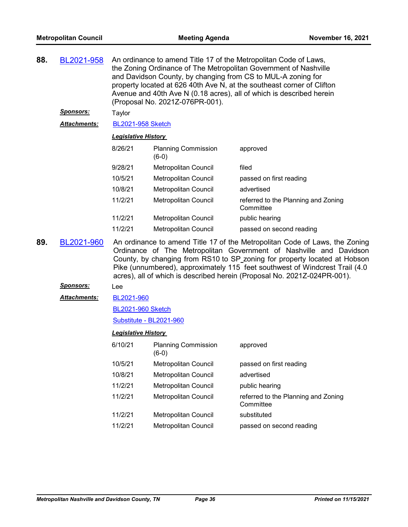| 88. | BL2021-958       | An ordinance to amend Title 17 of the Metropolitan Code of Laws,<br>the Zoning Ordinance of The Metropolitan Government of Nashville<br>and Davidson County, by changing from CS to MUL-A zoning for<br>property located at 626 40th Ave N, at the southeast corner of Clifton<br>Avenue and 40th Ave N (0.18 acres), all of which is described herein<br>(Proposal No. 2021Z-076PR-001). |                                       |                                                                                                                                                   |  |
|-----|------------------|-------------------------------------------------------------------------------------------------------------------------------------------------------------------------------------------------------------------------------------------------------------------------------------------------------------------------------------------------------------------------------------------|---------------------------------------|---------------------------------------------------------------------------------------------------------------------------------------------------|--|
|     | <b>Sponsors:</b> | Taylor                                                                                                                                                                                                                                                                                                                                                                                    |                                       |                                                                                                                                                   |  |
|     | Attachments:     | <b>BL2021-958 Sketch</b>                                                                                                                                                                                                                                                                                                                                                                  |                                       |                                                                                                                                                   |  |
|     |                  | Legislative History                                                                                                                                                                                                                                                                                                                                                                       |                                       |                                                                                                                                                   |  |
|     |                  | 8/26/21                                                                                                                                                                                                                                                                                                                                                                                   | <b>Planning Commission</b><br>$(6-0)$ | approved                                                                                                                                          |  |
|     |                  | 9/28/21                                                                                                                                                                                                                                                                                                                                                                                   | Metropolitan Council                  | filed                                                                                                                                             |  |
|     |                  | 10/5/21                                                                                                                                                                                                                                                                                                                                                                                   | Metropolitan Council                  | passed on first reading                                                                                                                           |  |
|     |                  | 10/8/21                                                                                                                                                                                                                                                                                                                                                                                   | Metropolitan Council                  | advertised                                                                                                                                        |  |
|     |                  | 11/2/21                                                                                                                                                                                                                                                                                                                                                                                   | Metropolitan Council                  | referred to the Planning and Zoning<br>Committee                                                                                                  |  |
|     |                  | 11/2/21                                                                                                                                                                                                                                                                                                                                                                                   | Metropolitan Council                  | public hearing                                                                                                                                    |  |
|     |                  | 11/2/21                                                                                                                                                                                                                                                                                                                                                                                   | Metropolitan Council                  | passed on second reading                                                                                                                          |  |
| 89. | BL2021-960       |                                                                                                                                                                                                                                                                                                                                                                                           |                                       | An ordinance to amend Title 17 of the Metropolitan Code of Laws, the Zoning<br>Ordinance of The Metropolitan Government of Nashville and Davidson |  |

Ordinance of The Metropolitan Government of Nashville and Davidson County, by changing from RS10 to SP zoning for property located at Hobson Pike (unnumbered), approximately 115 feet southwest of Windcrest Trail (4.0 acres), all of which is described herein (Proposal No. 2021Z-024PR-001).

## *Sponsors:* Lee

[BL2021-960](http://nashville.legistar.com/gateway.aspx?M=F&ID=82d5a362-0301-4902-b8fc-9aee2efacc7a.docx) *Attachments:*

[BL2021-960 Sketch](http://nashville.legistar.com/gateway.aspx?M=F&ID=309983c8-821a-4975-a00b-b266889dc487.docx)

[Substitute - BL2021-960](http://nashville.legistar.com/gateway.aspx?M=F&ID=12f67533-c1b9-419f-89e5-179bf88cdf7e.docx)

| 6/10/21 | <b>Planning Commission</b><br>$(6-0)$ | approved                                         |
|---------|---------------------------------------|--------------------------------------------------|
| 10/5/21 | <b>Metropolitan Council</b>           | passed on first reading                          |
| 10/8/21 | <b>Metropolitan Council</b>           | advertised                                       |
| 11/2/21 | <b>Metropolitan Council</b>           | public hearing                                   |
| 11/2/21 | <b>Metropolitan Council</b>           | referred to the Planning and Zoning<br>Committee |
| 11/2/21 | <b>Metropolitan Council</b>           | substituted                                      |
| 11/2/21 | <b>Metropolitan Council</b>           | passed on second reading                         |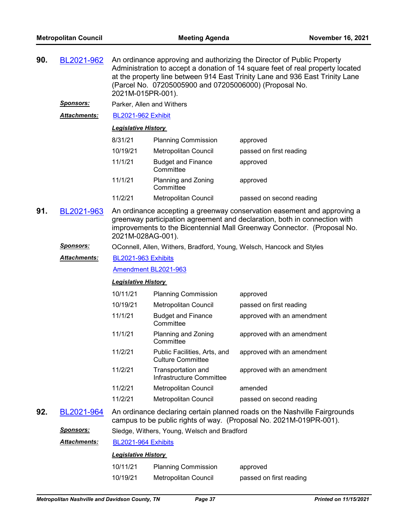| BL2021-962<br>90.<br>An ordinance approving and authorizing the Director of Public Property<br>Administration to accept a donation of 14 square feet of real property located<br>at the property line between 914 East Trinity Lane and 936 East Trinity Lane<br>(Parcel No. 07205005900 and 07205006000) (Proposal No.<br>2021M-015PR-001). |                     |                                                                                                                                                                                                                                                      |                                                          |                                                                                                                                                 |  |  |
|----------------------------------------------------------------------------------------------------------------------------------------------------------------------------------------------------------------------------------------------------------------------------------------------------------------------------------------------|---------------------|------------------------------------------------------------------------------------------------------------------------------------------------------------------------------------------------------------------------------------------------------|----------------------------------------------------------|-------------------------------------------------------------------------------------------------------------------------------------------------|--|--|
|                                                                                                                                                                                                                                                                                                                                              | <u>Sponsors:</u>    | Parker, Allen and Withers                                                                                                                                                                                                                            |                                                          |                                                                                                                                                 |  |  |
|                                                                                                                                                                                                                                                                                                                                              | Attachments:        | <b>BL2021-962 Exhibit</b>                                                                                                                                                                                                                            |                                                          |                                                                                                                                                 |  |  |
|                                                                                                                                                                                                                                                                                                                                              |                     | <b>Legislative History</b>                                                                                                                                                                                                                           |                                                          |                                                                                                                                                 |  |  |
|                                                                                                                                                                                                                                                                                                                                              |                     | 8/31/21                                                                                                                                                                                                                                              | <b>Planning Commission</b>                               | approved                                                                                                                                        |  |  |
|                                                                                                                                                                                                                                                                                                                                              |                     | 10/19/21                                                                                                                                                                                                                                             | <b>Metropolitan Council</b>                              | passed on first reading                                                                                                                         |  |  |
|                                                                                                                                                                                                                                                                                                                                              |                     | 11/1/21                                                                                                                                                                                                                                              | <b>Budget and Finance</b><br>Committee                   | approved                                                                                                                                        |  |  |
|                                                                                                                                                                                                                                                                                                                                              |                     | 11/1/21                                                                                                                                                                                                                                              | Planning and Zoning<br>Committee                         | approved                                                                                                                                        |  |  |
|                                                                                                                                                                                                                                                                                                                                              |                     | 11/2/21                                                                                                                                                                                                                                              | Metropolitan Council                                     | passed on second reading                                                                                                                        |  |  |
| 91.                                                                                                                                                                                                                                                                                                                                          | BL2021-963          | An ordinance accepting a greenway conservation easement and approving a<br>greenway participation agreement and declaration, both in connection with<br>improvements to the Bicentennial Mall Greenway Connector. (Proposal No.<br>2021M-028AG-001). |                                                          |                                                                                                                                                 |  |  |
|                                                                                                                                                                                                                                                                                                                                              | <u>Sponsors:</u>    |                                                                                                                                                                                                                                                      |                                                          | OConnell, Allen, Withers, Bradford, Young, Welsch, Hancock and Styles                                                                           |  |  |
|                                                                                                                                                                                                                                                                                                                                              | Attachments:        | BL2021-963 Exhibits                                                                                                                                                                                                                                  |                                                          |                                                                                                                                                 |  |  |
|                                                                                                                                                                                                                                                                                                                                              |                     |                                                                                                                                                                                                                                                      | Amendment BL2021-963                                     |                                                                                                                                                 |  |  |
|                                                                                                                                                                                                                                                                                                                                              |                     | <b>Legislative History</b>                                                                                                                                                                                                                           |                                                          |                                                                                                                                                 |  |  |
|                                                                                                                                                                                                                                                                                                                                              |                     | 10/11/21                                                                                                                                                                                                                                             | <b>Planning Commission</b>                               | approved                                                                                                                                        |  |  |
|                                                                                                                                                                                                                                                                                                                                              |                     | 10/19/21                                                                                                                                                                                                                                             | Metropolitan Council                                     | passed on first reading                                                                                                                         |  |  |
|                                                                                                                                                                                                                                                                                                                                              |                     | 11/1/21                                                                                                                                                                                                                                              | <b>Budget and Finance</b><br>Committee                   | approved with an amendment                                                                                                                      |  |  |
|                                                                                                                                                                                                                                                                                                                                              |                     | 11/1/21                                                                                                                                                                                                                                              | Planning and Zoning<br>Committee                         | approved with an amendment                                                                                                                      |  |  |
|                                                                                                                                                                                                                                                                                                                                              |                     | 11/2/21                                                                                                                                                                                                                                              | Public Facilities, Arts, and<br><b>Culture Committee</b> | approved with an amendment                                                                                                                      |  |  |
|                                                                                                                                                                                                                                                                                                                                              |                     | 11/2/21                                                                                                                                                                                                                                              | Transportation and<br>Infrastructure Committee           | approved with an amendment                                                                                                                      |  |  |
|                                                                                                                                                                                                                                                                                                                                              |                     | 11/2/21                                                                                                                                                                                                                                              | Metropolitan Council                                     | amended                                                                                                                                         |  |  |
|                                                                                                                                                                                                                                                                                                                                              |                     | 11/2/21                                                                                                                                                                                                                                              | Metropolitan Council                                     | passed on second reading                                                                                                                        |  |  |
| 92.                                                                                                                                                                                                                                                                                                                                          | BL2021-964          |                                                                                                                                                                                                                                                      |                                                          | An ordinance declaring certain planned roads on the Nashville Fairgrounds<br>campus to be public rights of way. (Proposal No. 2021M-019PR-001). |  |  |
|                                                                                                                                                                                                                                                                                                                                              | <u>Sponsors:</u>    |                                                                                                                                                                                                                                                      | Sledge, Withers, Young, Welsch and Bradford              |                                                                                                                                                 |  |  |
|                                                                                                                                                                                                                                                                                                                                              | <b>Attachments:</b> | BL2021-964 Exhibits                                                                                                                                                                                                                                  |                                                          |                                                                                                                                                 |  |  |
|                                                                                                                                                                                                                                                                                                                                              |                     | <b>Legislative History</b>                                                                                                                                                                                                                           |                                                          |                                                                                                                                                 |  |  |
|                                                                                                                                                                                                                                                                                                                                              |                     | 10/11/21                                                                                                                                                                                                                                             | <b>Planning Commission</b>                               | approved                                                                                                                                        |  |  |
|                                                                                                                                                                                                                                                                                                                                              |                     | 10/19/21                                                                                                                                                                                                                                             | Metropolitan Council                                     | passed on first reading                                                                                                                         |  |  |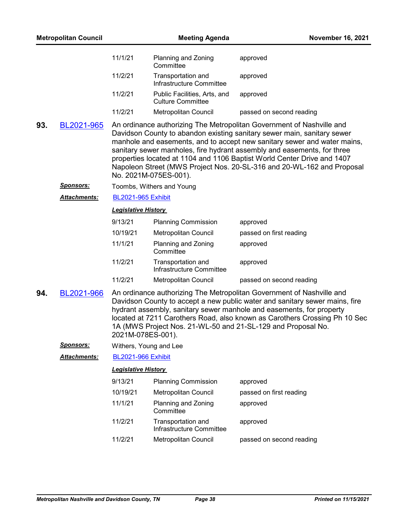| <b>Metropolitan Council</b> |                     | <b>Meeting Agenda</b>                                                                                                                                                                                                                                                                                                                                                                           |                                                          | <b>November 16, 2021</b>                                                                                                                                                                                                                                                                                                                                                                                                                                     |
|-----------------------------|---------------------|-------------------------------------------------------------------------------------------------------------------------------------------------------------------------------------------------------------------------------------------------------------------------------------------------------------------------------------------------------------------------------------------------|----------------------------------------------------------|--------------------------------------------------------------------------------------------------------------------------------------------------------------------------------------------------------------------------------------------------------------------------------------------------------------------------------------------------------------------------------------------------------------------------------------------------------------|
|                             |                     | 11/1/21                                                                                                                                                                                                                                                                                                                                                                                         | Planning and Zoning<br>Committee                         | approved                                                                                                                                                                                                                                                                                                                                                                                                                                                     |
|                             |                     | 11/2/21                                                                                                                                                                                                                                                                                                                                                                                         | Transportation and<br>Infrastructure Committee           | approved                                                                                                                                                                                                                                                                                                                                                                                                                                                     |
|                             |                     | 11/2/21                                                                                                                                                                                                                                                                                                                                                                                         | Public Facilities, Arts, and<br><b>Culture Committee</b> | approved                                                                                                                                                                                                                                                                                                                                                                                                                                                     |
|                             |                     | 11/2/21                                                                                                                                                                                                                                                                                                                                                                                         | Metropolitan Council                                     | passed on second reading                                                                                                                                                                                                                                                                                                                                                                                                                                     |
| 93.                         | BL2021-965          |                                                                                                                                                                                                                                                                                                                                                                                                 | No. 2021M-075ES-001).                                    | An ordinance authorizing The Metropolitan Government of Nashville and<br>Davidson County to abandon existing sanitary sewer main, sanitary sewer<br>manhole and easements, and to accept new sanitary sewer and water mains,<br>sanitary sewer manholes, fire hydrant assembly and easements, for three<br>properties located at 1104 and 1106 Baptist World Center Drive and 1407<br>Napoleon Street (MWS Project Nos. 20-SL-316 and 20-WL-162 and Proposal |
|                             | <u>Sponsors:</u>    |                                                                                                                                                                                                                                                                                                                                                                                                 | Toombs, Withers and Young                                |                                                                                                                                                                                                                                                                                                                                                                                                                                                              |
|                             | <b>Attachments:</b> | <b>BL2021-965 Exhibit</b>                                                                                                                                                                                                                                                                                                                                                                       |                                                          |                                                                                                                                                                                                                                                                                                                                                                                                                                                              |
|                             |                     | <b>Legislative History</b>                                                                                                                                                                                                                                                                                                                                                                      |                                                          |                                                                                                                                                                                                                                                                                                                                                                                                                                                              |
|                             |                     | 9/13/21                                                                                                                                                                                                                                                                                                                                                                                         | <b>Planning Commission</b>                               | approved                                                                                                                                                                                                                                                                                                                                                                                                                                                     |
|                             |                     | 10/19/21                                                                                                                                                                                                                                                                                                                                                                                        | Metropolitan Council                                     | passed on first reading                                                                                                                                                                                                                                                                                                                                                                                                                                      |
|                             |                     | 11/1/21                                                                                                                                                                                                                                                                                                                                                                                         | Planning and Zoning<br>Committee                         | approved                                                                                                                                                                                                                                                                                                                                                                                                                                                     |
|                             |                     | 11/2/21                                                                                                                                                                                                                                                                                                                                                                                         | Transportation and<br>Infrastructure Committee           | approved                                                                                                                                                                                                                                                                                                                                                                                                                                                     |
|                             |                     | 11/2/21                                                                                                                                                                                                                                                                                                                                                                                         | Metropolitan Council                                     | passed on second reading                                                                                                                                                                                                                                                                                                                                                                                                                                     |
| 94.                         | BL2021-966          | An ordinance authorizing The Metropolitan Government of Nashville and<br>Davidson County to accept a new public water and sanitary sewer mains, fire<br>hydrant assembly, sanitary sewer manhole and easements, for property<br>located at 7211 Carothers Road, also known as Carothers Crossing Ph 10 Sec<br>1A (MWS Project Nos. 21-WL-50 and 21-SL-129 and Proposal No.<br>2021M-078ES-001). |                                                          |                                                                                                                                                                                                                                                                                                                                                                                                                                                              |
|                             | <u>Sponsors:</u>    |                                                                                                                                                                                                                                                                                                                                                                                                 | Withers, Young and Lee                                   |                                                                                                                                                                                                                                                                                                                                                                                                                                                              |
|                             | Attachments:        | <b>BL2021-966 Exhibit</b>                                                                                                                                                                                                                                                                                                                                                                       |                                                          |                                                                                                                                                                                                                                                                                                                                                                                                                                                              |
|                             |                     | <b>Legislative History</b>                                                                                                                                                                                                                                                                                                                                                                      |                                                          |                                                                                                                                                                                                                                                                                                                                                                                                                                                              |
|                             |                     | 9/13/21                                                                                                                                                                                                                                                                                                                                                                                         | <b>Planning Commission</b>                               | approved                                                                                                                                                                                                                                                                                                                                                                                                                                                     |
|                             |                     | 10/19/21                                                                                                                                                                                                                                                                                                                                                                                        | Metropolitan Council                                     | passed on first reading                                                                                                                                                                                                                                                                                                                                                                                                                                      |
|                             |                     | 11/1/21                                                                                                                                                                                                                                                                                                                                                                                         | Planning and Zoning<br>Committee                         | approved                                                                                                                                                                                                                                                                                                                                                                                                                                                     |
|                             |                     | 11/2/21                                                                                                                                                                                                                                                                                                                                                                                         | Transportation and<br>Infrastructure Committee           | approved                                                                                                                                                                                                                                                                                                                                                                                                                                                     |
|                             |                     | 11/2/21                                                                                                                                                                                                                                                                                                                                                                                         | Metropolitan Council                                     | passed on second reading                                                                                                                                                                                                                                                                                                                                                                                                                                     |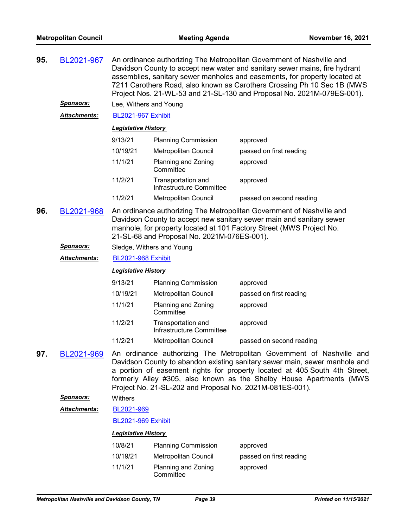| 95. | BL2021-967          | An ordinance authorizing The Metropolitan Government of Nashville and<br>Davidson County to accept new water and sanitary sewer mains, fire hydrant<br>assemblies, sanitary sewer manholes and easements, for property located at<br>7211 Carothers Road, also known as Carothers Crossing Ph 10 Sec 1B (MWS<br>Project Nos. 21-WL-53 and 21-SL-130 and Proposal No. 2021M-079ES-001). |                                                          |                                                                                                                                                                                                                                                                                                          |  |  |
|-----|---------------------|----------------------------------------------------------------------------------------------------------------------------------------------------------------------------------------------------------------------------------------------------------------------------------------------------------------------------------------------------------------------------------------|----------------------------------------------------------|----------------------------------------------------------------------------------------------------------------------------------------------------------------------------------------------------------------------------------------------------------------------------------------------------------|--|--|
|     | Sponsors:           | Lee, Withers and Young                                                                                                                                                                                                                                                                                                                                                                 |                                                          |                                                                                                                                                                                                                                                                                                          |  |  |
|     | Attachments:        | <b>BL2021-967 Exhibit</b>                                                                                                                                                                                                                                                                                                                                                              |                                                          |                                                                                                                                                                                                                                                                                                          |  |  |
|     |                     | <b>Legislative History</b>                                                                                                                                                                                                                                                                                                                                                             |                                                          |                                                                                                                                                                                                                                                                                                          |  |  |
|     |                     | 9/13/21                                                                                                                                                                                                                                                                                                                                                                                | <b>Planning Commission</b>                               | approved                                                                                                                                                                                                                                                                                                 |  |  |
|     |                     | 10/19/21                                                                                                                                                                                                                                                                                                                                                                               | <b>Metropolitan Council</b>                              | passed on first reading                                                                                                                                                                                                                                                                                  |  |  |
|     |                     | 11/1/21                                                                                                                                                                                                                                                                                                                                                                                | Planning and Zoning<br>Committee                         | approved                                                                                                                                                                                                                                                                                                 |  |  |
|     |                     | 11/2/21                                                                                                                                                                                                                                                                                                                                                                                | Transportation and<br>Infrastructure Committee           | approved                                                                                                                                                                                                                                                                                                 |  |  |
|     |                     | 11/2/21                                                                                                                                                                                                                                                                                                                                                                                | Metropolitan Council                                     | passed on second reading                                                                                                                                                                                                                                                                                 |  |  |
| 96. | BL2021-968          | An ordinance authorizing The Metropolitan Government of Nashville and<br>Davidson County to accept new sanitary sewer main and sanitary sewer<br>manhole, for property located at 101 Factory Street (MWS Project No.<br>21-SL-68 and Proposal No. 2021M-076ES-001).                                                                                                                   |                                                          |                                                                                                                                                                                                                                                                                                          |  |  |
|     | Sponsors:           | Sledge, Withers and Young                                                                                                                                                                                                                                                                                                                                                              |                                                          |                                                                                                                                                                                                                                                                                                          |  |  |
|     | <b>Attachments:</b> | <b>BL2021-968 Exhibit</b>                                                                                                                                                                                                                                                                                                                                                              |                                                          |                                                                                                                                                                                                                                                                                                          |  |  |
|     |                     | <b>Legislative History</b>                                                                                                                                                                                                                                                                                                                                                             |                                                          |                                                                                                                                                                                                                                                                                                          |  |  |
|     |                     | 9/13/21                                                                                                                                                                                                                                                                                                                                                                                | <b>Planning Commission</b>                               | approved                                                                                                                                                                                                                                                                                                 |  |  |
|     |                     | 10/19/21                                                                                                                                                                                                                                                                                                                                                                               | <b>Metropolitan Council</b>                              | passed on first reading                                                                                                                                                                                                                                                                                  |  |  |
|     |                     | 11/1/21                                                                                                                                                                                                                                                                                                                                                                                | Planning and Zoning<br>Committee                         | approved                                                                                                                                                                                                                                                                                                 |  |  |
|     |                     | 11/2/21                                                                                                                                                                                                                                                                                                                                                                                | Transportation and<br>Infrastructure Committee           | approved                                                                                                                                                                                                                                                                                                 |  |  |
|     |                     |                                                                                                                                                                                                                                                                                                                                                                                        |                                                          |                                                                                                                                                                                                                                                                                                          |  |  |
|     |                     | 11/2/21                                                                                                                                                                                                                                                                                                                                                                                | Metropolitan Council                                     | passed on second reading                                                                                                                                                                                                                                                                                 |  |  |
| 97. | BL2021-969          |                                                                                                                                                                                                                                                                                                                                                                                        | Project No. 21-SL-202 and Proposal No. 2021M-081ES-001). | An ordinance authorizing The Metropolitan Government of Nashville and<br>Davidson County to abandon existing sanitary sewer main, sewer manhole and<br>a portion of easement rights for property located at 405 South 4th Street,<br>formerly Alley #305, also known as the Shelby House Apartments (MWS |  |  |
|     | <u>Sponsors:</u>    | Withers                                                                                                                                                                                                                                                                                                                                                                                |                                                          |                                                                                                                                                                                                                                                                                                          |  |  |
|     | <b>Attachments:</b> | BL2021-969                                                                                                                                                                                                                                                                                                                                                                             |                                                          |                                                                                                                                                                                                                                                                                                          |  |  |
|     |                     | <b>BL2021-969 Exhibit</b>                                                                                                                                                                                                                                                                                                                                                              |                                                          |                                                                                                                                                                                                                                                                                                          |  |  |
|     |                     | <b>Legislative History</b>                                                                                                                                                                                                                                                                                                                                                             |                                                          |                                                                                                                                                                                                                                                                                                          |  |  |
|     |                     | 10/8/21                                                                                                                                                                                                                                                                                                                                                                                | <b>Planning Commission</b>                               | approved                                                                                                                                                                                                                                                                                                 |  |  |
|     |                     | 10/19/21                                                                                                                                                                                                                                                                                                                                                                               | <b>Metropolitan Council</b>                              | passed on first reading                                                                                                                                                                                                                                                                                  |  |  |